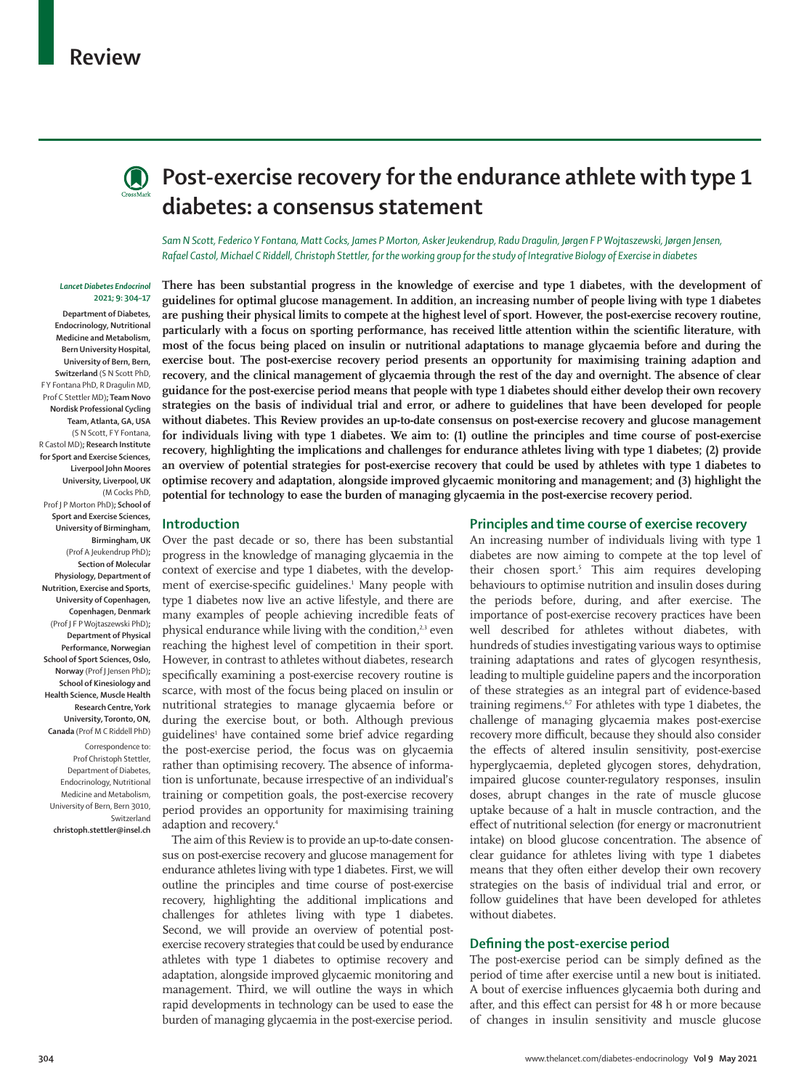

# **(A)** Post-exercise recovery for the endurance athlete with type 1 **diabetes: a consensus statement**

*Sam N Scott, Federico Y Fontana, Matt Cocks, James P Morton, Asker Jeukendrup, Radu Dragulin, Jørgen F P Wojtaszewski, Jørgen Jensen, Rafael Castol, Michael C Riddell, Christoph Stettler, for the working group for the study of Integrative Biology of Exercise in diabetes*

#### *Lancet Diabetes Endocrinol* **2021; 9: 304–17**

**Department of Diabetes, Endocrinology, Nutritional Medicine and Metabolism, Bern University Hospital, University of Bern, Bern, Switzerland** (S N Scott PhD, F Y Fontana PhD, R Dragulin MD, Prof C Stettler MD)**; Team Novo Nordisk Professional Cycling Team, Atlanta, GA, USA** (S N Scott, F Y Fontana, R Castol MD)**; Research Institute for Sport and Exercise Sciences, Liverpool John Moores University, Liverpool, UK** (M Cocks PhD, Prof J P Morton PhD)**; School of Sport and Exercise Sciences, University of Birmingham, Birmingham, UK**  (Prof A Jeukendrup PhD)**; Section of Molecular Physiology, Department of Nutrition, Exercise and Sports, University of Copenhagen, Copenhagen, Denmark** (Prof J F P Wojtaszewski PhD)**; Department of Physical Performance, Norwegian School of Sport Sciences, Oslo, Norway** (Prof J Jensen PhD)**; School of Kinesiology and Health Science, Muscle Health Research Centre, York University, Toronto, ON, Canada** (Prof M C Riddell PhD)

Correspondence to: Prof Christoph Stettler, Department of Diabetes, Endocrinology, Nutritional Medicine and Metabolism, University of Bern, Bern 3010, Switzerland

**christoph.stettler@insel.ch**

**There has been substantial progress in the knowledge of exercise and type 1 diabetes, with the development of guidelines for optimal glucose management. In addition, an increasing number of people living with type 1 diabetes are pushing their physical limits to compete at the highest level of sport. However, the post-exercise recovery routine, particularly with a focus on sporting performance, has received little attention within the scientific literature, with most of the focus being placed on insulin or nutritional adaptations to manage glycaemia before and during the exercise bout. The post-exercise recovery period presents an opportunity for maximising training adaption and recovery, and the clinical management of glycaemia through the rest of the day and overnight. The absence of clear guidance for the post-exercise period means that people with type 1 diabetes should either develop their own recovery strategies on the basis of individual trial and error, or adhere to guidelines that have been developed for people without diabetes. This Review provides an up-to-date consensus on post-exercise recovery and glucose management for individuals living with type 1 diabetes. We aim to: (1) outline the principles and time course of post-exercise recovery, highlighting the implications and challenges for endurance athletes living with type 1 diabetes; (2) provide an overview of potential strategies for post-exercise recovery that could be used by athletes with type 1 diabetes to optimise recovery and adaptation, alongside improved glycaemic monitoring and management; and (3) highlight the potential for technology to ease the burden of managing glycaemia in the post-exercise recovery period.**

## **Introduction**

Over the past decade or so, there has been substantial progress in the knowledge of managing glycaemia in the context of exercise and type 1 diabetes, with the development of exercise-specific guidelines.<sup>1</sup> Many people with type 1 diabetes now live an active lifestyle, and there are many examples of people achieving incredible feats of physical endurance while living with the condition, $23$  even reaching the highest level of competition in their sport. However, in contrast to athletes without diabetes, research specifically examining a post-exercise recovery routine is scarce, with most of the focus being placed on insulin or nutritional strategies to manage glycaemia before or during the exercise bout, or both. Although previous guidelines<sup>1</sup> have contained some brief advice regarding the post-exercise period, the focus was on glycaemia rather than optimising recovery. The absence of information is unfortunate, because irrespective of an individual's training or competition goals, the post-exercise recovery period provides an opportunity for maximising training adaption and recovery.<sup>4</sup>

The aim of this Review is to provide an up-to-date consensus on post-exercise recovery and glucose management for endurance athletes living with type 1 diabetes. First, we will outline the principles and time course of post-exercise recovery, highlighting the additional implications and challenges for athletes living with type 1 diabetes. Second, we will provide an overview of potential postexercise recovery strategies that could be used by endurance athletes with type 1 diabetes to optimise recovery and adaptation, alongside improved glycaemic monitoring and management. Third, we will outline the ways in which rapid developments in technology can be used to ease the burden of managing glycaemia in the post-exercise period.

## **Principles and time course of exercise recovery**

An increasing number of individuals living with type 1 diabetes are now aiming to compete at the top level of their chosen sport.5 This aim requires developing behaviours to optimise nutrition and insulin doses during the periods before, during, and after exercise. The importance of post-exercise recovery practices have been well described for athletes without diabetes, with hundreds of studies investigating various ways to optimise training adaptations and rates of glycogen resynthesis, leading to multiple guideline papers and the incorporation of these strategies as an integral part of evidence-based training regimens.<sup>67</sup> For athletes with type 1 diabetes, the challenge of managing glycaemia makes post-exercise recovery more difficult, because they should also consider the effects of altered insulin sensitivity, post-exercise hyperglycaemia, depleted glycogen stores, dehydration, impaired glucose counter-regulatory responses, insulin doses, abrupt changes in the rate of muscle glucose uptake because of a halt in muscle contraction, and the effect of nutritional selection (for energy or macronutrient intake) on blood glucose concentration. The absence of clear guidance for athletes living with type 1 diabetes means that they often either develop their own recovery strategies on the basis of individual trial and error, or follow guidelines that have been developed for athletes without diabetes.

## **Defining the post-exercise period**

The post-exercise period can be simply defined as the period of time after exercise until a new bout is initiated. A bout of exercise influences glycaemia both during and after, and this effect can persist for 48 h or more because of changes in insulin sensitivity and muscle glucose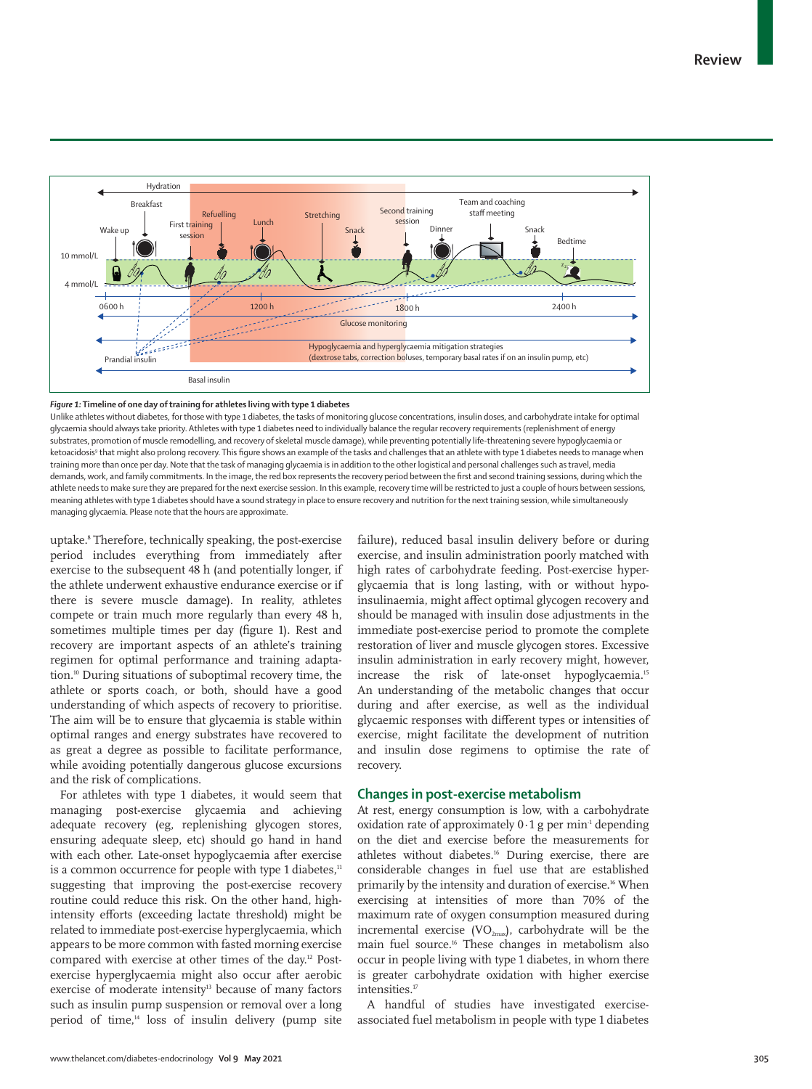

#### *Figure 1:* **Timeline of one day of training for athletes living with type 1 diabetes**

Unlike athletes without diabetes, for those with type 1 diabetes, the tasks of monitoring glucose concentrations, insulin doses, and carbohydrate intake for optimal glycaemia should always take priority. Athletes with type 1 diabetes need to individually balance the regular recovery requirements (replenishment of energy substrates, promotion of muscle remodelling, and recovery of skeletal muscle damage), while preventing potentially life-threatening severe hypoglycaemia or ketoacidosis<sup>9</sup> that might also prolong recovery. This figure shows an example of the tasks and challenges that an athlete with type 1 diabetes needs to manage when training more than once per day. Note that the task of managing glycaemia is in addition to the other logistical and personal challenges such as travel, media demands, work, and family commitments. In the image, the red box represents the recovery period between the first and second training sessions, during which the athlete needs to make sure they are prepared for the next exercise session. In this example, recovery time will be restricted to just a couple of hours between sessions, meaning athletes with type 1 diabetes should have a sound strategy in place to ensure recovery and nutrition for the next training session, while simultaneously managing glycaemia. Please note that the hours are approximate.

uptake.8 Therefore, technically speaking, the post-exercise period includes everything from immediately after exercise to the subsequent 48 h (and potentially longer, if the athlete underwent exhaustive endurance exercise or if there is severe muscle damage). In reality, athletes compete or train much more regularly than every 48 h, sometimes multiple times per day (figure 1). Rest and recovery are important aspects of an athlete's training regimen for optimal performance and training adaptation.10 During situations of suboptimal recovery time, the athlete or sports coach, or both, should have a good understanding of which aspects of recovery to prioritise. The aim will be to ensure that glycaemia is stable within optimal ranges and energy substrates have recovered to as great a degree as possible to facilitate performance, while avoiding potentially dangerous glucose excursions and the risk of complications.

For athletes with type 1 diabetes, it would seem that managing post-exercise glycaemia and achieving adequate recovery (eg, replenishing glycogen stores, ensuring adequate sleep, etc) should go hand in hand with each other. Late-onset hypoglycaemia after exercise is a common occurrence for people with type 1 diabetes,<sup>11</sup> suggesting that improving the post-exercise recovery routine could reduce this risk. On the other hand, highintensity efforts (exceeding lactate threshold) might be related to immediate post-exercise hyperglycaemia, which appears to be more common with fasted morning exercise compared with exercise at other times of the day.12 Postexercise hyperglycaemia might also occur after aerobic exercise of moderate intensity<sup>13</sup> because of many factors such as insulin pump suspension or removal over a long period of time, $14$  loss of insulin delivery (pump site failure), reduced basal insulin delivery before or during exercise, and insulin administration poorly matched with high rates of carbohydrate feeding. Post-exercise hyperglycaemia that is long lasting, with or without hypoinsulinaemia, might affect optimal glycogen recovery and should be managed with insulin dose adjustments in the immediate post-exercise period to promote the complete restoration of liver and muscle glycogen stores. Excessive insulin administration in early recovery might, however, increase the risk of late-onset hypoglycaemia.<sup>15</sup> An understanding of the metabolic changes that occur during and after exercise, as well as the individual glycaemic responses with different types or intensities of exercise, might facilitate the development of nutrition and insulin dose regimens to optimise the rate of recovery.

## **Changes in post-exercise metabolism**

At rest, energy consumption is low, with a carbohydrate oxidation rate of approximately  $0.1$  g per min<sup>1</sup> depending on the diet and exercise before the measurements for athletes without diabetes.<sup>16</sup> During exercise, there are considerable changes in fuel use that are established primarily by the intensity and duration of exercise.<sup>16</sup> When exercising at intensities of more than 70% of the maximum rate of oxygen consumption measured during incremental exercise ( $VO_{2max}$ ), carbohydrate will be the main fuel source.16 These changes in metabolism also occur in people living with type 1 diabetes, in whom there is greater carbohydrate oxidation with higher exercise intensities.<sup>17</sup>

A handful of studies have investigated exerciseassociated fuel metabolism in people with type 1 diabetes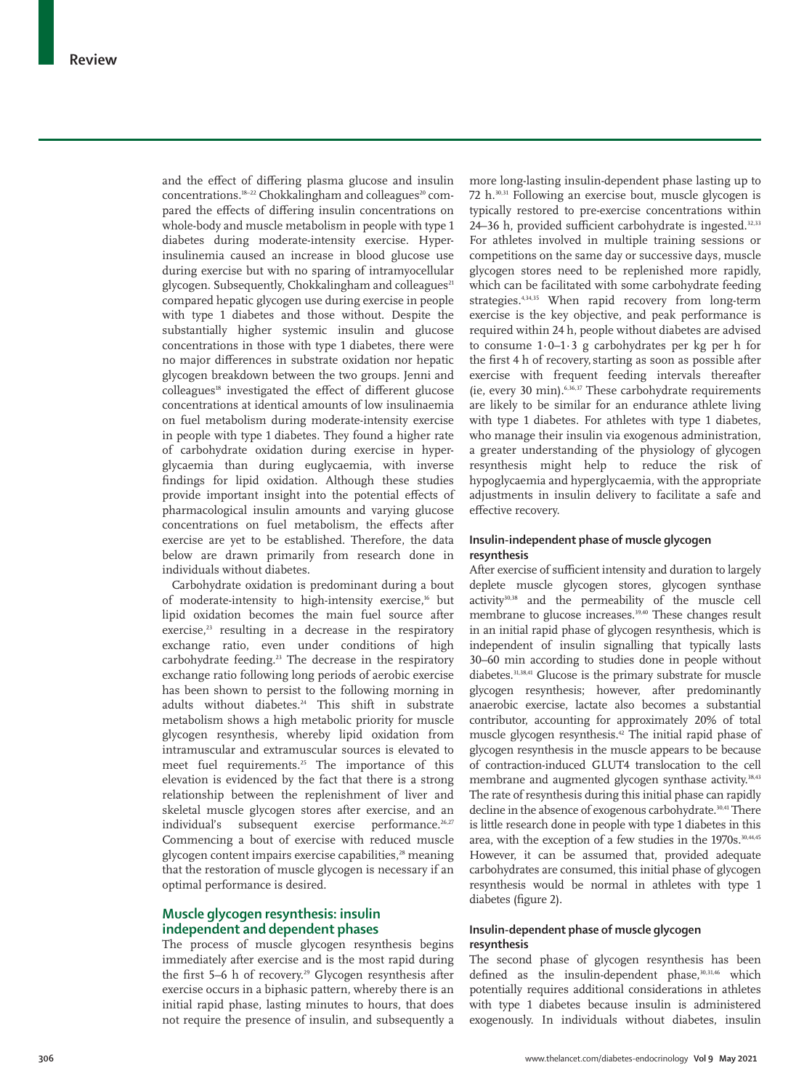and the effect of differing plasma glucose and insulin concentrations.<sup>18-22</sup> Chokkalingham and colleagues<sup>20</sup> compared the effects of differing insulin concentrations on whole-body and muscle metabolism in people with type 1 diabetes during moderate-intensity exercise. Hyperinsulinemia caused an increase in blood glucose use during exercise but with no sparing of intramyocellular glycogen. Subsequently, Chokkalingham and colleagues<sup>21</sup> compared hepatic glycogen use during exercise in people with type 1 diabetes and those without. Despite the substantially higher systemic insulin and glucose concentrations in those with type 1 diabetes, there were no major differences in substrate oxidation nor hepatic glycogen breakdown between the two groups. Jenni and colleagues<sup>18</sup> investigated the effect of different glucose concentrations at identical amounts of low insulinaemia on fuel metabolism during moderate-intensity exercise in people with type 1 diabetes. They found a higher rate of carbohydrate oxidation during exercise in hyperglycaemia than during euglycaemia, with inverse findings for lipid oxidation. Although these studies provide important insight into the potential effects of pharmacological insulin amounts and varying glucose concentrations on fuel metabolism, the effects after exercise are yet to be established. Therefore, the data below are drawn primarily from research done in individuals without diabetes.

Carbohydrate oxidation is predominant during a bout of moderate-intensity to high-intensity exercise,<sup>16</sup> but lipid oxidation becomes the main fuel source after exercise, $23$  resulting in a decrease in the respiratory exchange ratio, even under conditions of high carbohydrate feeding.<sup>23</sup> The decrease in the respiratory exchange ratio following long periods of aerobic exercise has been shown to persist to the following morning in adults without diabetes.<sup>24</sup> This shift in substrate metabolism shows a high metabolic priority for muscle glycogen resynthesis, whereby lipid oxidation from intramuscular and extramuscular sources is elevated to meet fuel requirements.<sup>25</sup> The importance of this elevation is evidenced by the fact that there is a strong relationship between the replenishment of liver and skeletal muscle glycogen stores after exercise, and an individual's subsequent exercise performance.<sup>26,27</sup> Commencing a bout of exercise with reduced muscle glycogen content impairs exercise capabilities,<sup>28</sup> meaning that the restoration of muscle glycogen is necessary if an optimal performance is desired.

## **Muscle glycogen resynthesis: insulin independent and dependent phases**

The process of muscle glycogen resynthesis begins immediately after exercise and is the most rapid during the first 5–6 h of recovery.<sup>29</sup> Glycogen resynthesis after exercise occurs in a biphasic pattern, whereby there is an initial rapid phase, lasting minutes to hours, that does not require the presence of insulin, and subsequently a more long-lasting insulin-dependent phase lasting up to 72 h.30,31 Following an exercise bout, muscle glycogen is typically restored to pre-exercise concentrations within 24–36 h, provided sufficient carbohydrate is ingested.<sup>32,33</sup> For athletes involved in multiple training sessions or competitions on the same day or successive days, muscle glycogen stores need to be replenished more rapidly, which can be facilitated with some carbohydrate feeding strategies.4,34,35 When rapid recovery from long-term exercise is the key objective, and peak performance is required within 24 h, people without diabetes are advised to consume 1·0–1·3 g carbohydrates per kg per h for the first 4 h of recovery, starting as soon as possible after exercise with frequent feeding intervals thereafter (ie, every 30 min).6,36,37 These carbohydrate requirements are likely to be similar for an endurance athlete living with type 1 diabetes. For athletes with type 1 diabetes, who manage their insulin via exogenous administration, a greater understanding of the physiology of glycogen resynthesis might help to reduce the risk of hypoglycaemia and hyperglycaemia, with the appropriate adjustments in insulin delivery to facilitate a safe and effective recovery.

## **Insulin-independent phase of muscle glycogen resynthesis**

After exercise of sufficient intensity and duration to largely deplete muscle glycogen stores, glycogen synthase activity30,38 and the permeability of the muscle cell membrane to glucose increases.39,40 These changes result in an initial rapid phase of glycogen resynthesis, which is independent of insulin signalling that typically lasts 30–60 min according to studies done in people without diabetes.31,38,41 Glucose is the primary substrate for muscle glycogen resynthesis; however, after predominantly anaerobic exercise, lactate also becomes a substantial contributor, accounting for approximately 20% of total muscle glycogen resynthesis.42 The initial rapid phase of glycogen resynthesis in the muscle appears to be because of contraction-induced GLUT4 translocation to the cell membrane and augmented glycogen synthase activity.<sup>38,43</sup> The rate of resynthesis during this initial phase can rapidly decline in the absence of exogenous carbohydrate.<sup>30,41</sup> There is little research done in people with type 1 diabetes in this area, with the exception of a few studies in the 1970s.<sup>30,44,45</sup> However, it can be assumed that, provided adequate carbohydrates are consumed, this initial phase of glycogen resynthesis would be normal in athletes with type 1 diabetes (figure 2).

## **Insulin-dependent phase of muscle glycogen resynthesis**

The second phase of glycogen resynthesis has been defined as the insulin-dependent phase, 30,31,46 which potentially requires additional considerations in athletes with type 1 diabetes because insulin is administered exogenously. In individuals without diabetes, insulin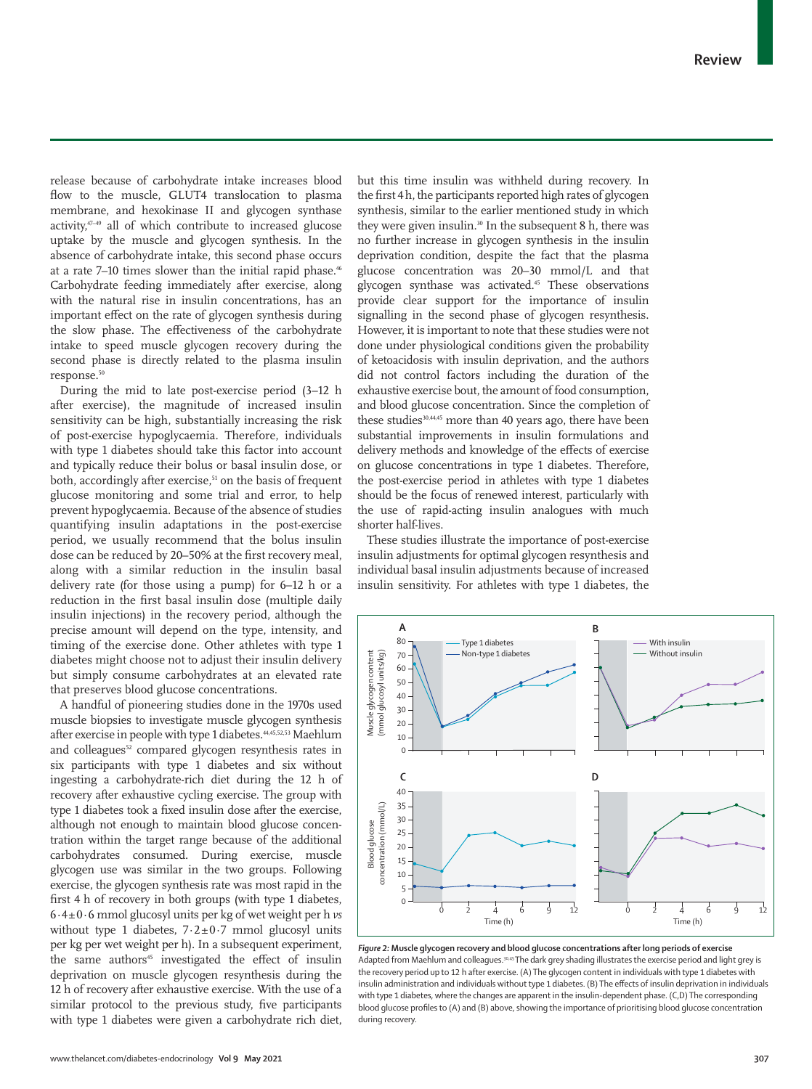release because of carbohydrate intake increases blood flow to the muscle, GLUT4 translocation to plasma membrane, and hexokinase II and glycogen synthase activity,47–49 all of which contribute to increased glucose uptake by the muscle and glycogen synthesis. In the absence of carbohydrate intake, this second phase occurs at a rate 7-10 times slower than the initial rapid phase.<sup>46</sup> Carbohydrate feeding immediately after exercise, along with the natural rise in insulin concentrations, has an important effect on the rate of glycogen synthesis during the slow phase. The effectiveness of the carbohydrate intake to speed muscle glycogen recovery during the second phase is directly related to the plasma insulin response.<sup>50</sup>

During the mid to late post-exercise period (3–12 h after exercise), the magnitude of increased insulin sensitivity can be high, substantially increasing the risk of post-exercise hypoglycaemia. Therefore, individuals with type 1 diabetes should take this factor into account and typically reduce their bolus or basal insulin dose, or both, accordingly after exercise,<sup>51</sup> on the basis of frequent glucose monitoring and some trial and error, to help prevent hypoglycaemia. Because of the absence of studies quantifying insulin adaptations in the post-exercise period, we usually recommend that the bolus insulin dose can be reduced by 20–50% at the first recovery meal, along with a similar reduction in the insulin basal delivery rate (for those using a pump) for 6–12 h or a reduction in the first basal insulin dose (multiple daily insulin injections) in the recovery period, although the precise amount will depend on the type, intensity, and timing of the exercise done. Other athletes with type 1 diabetes might choose not to adjust their insulin delivery but simply consume carbohydrates at an elevated rate that preserves blood glucose concentrations.

A handful of pioneering studies done in the 1970s used muscle biopsies to investigate muscle glycogen synthesis after exercise in people with type 1 diabetes.<sup>44,45,52,53</sup> Maehlum and colleagues<sup>52</sup> compared glycogen resynthesis rates in six participants with type 1 diabetes and six without ingesting a carbohydrate-rich diet during the 12 h of recovery after exhaustive cycling exercise. The group with type 1 diabetes took a fixed insulin dose after the exercise, although not enough to maintain blood glucose concentration within the target range because of the additional carbohydrates consumed. During exercise, muscle glycogen use was similar in the two groups. Following exercise, the glycogen synthesis rate was most rapid in the first 4 h of recovery in both groups (with type 1 diabetes, 6·4±0·6 mmol glucosyl units per kg of wet weight per h *vs* without type 1 diabetes,  $7.2 \pm 0.7$  mmol glucosyl units per kg per wet weight per h). In a subsequent experiment, the same authors<sup>45</sup> investigated the effect of insulin deprivation on muscle glycogen resynthesis during the 12 h of recovery after exhaustive exercise. With the use of a similar protocol to the previous study, five participants with type 1 diabetes were given a carbohydrate rich diet,

but this time insulin was withheld during recovery. In the first 4 h, the participants reported high rates of glycogen synthesis, similar to the earlier mentioned study in which they were given insulin.<sup>30</sup> In the subsequent 8 h, there was no further increase in glycogen synthesis in the insulin deprivation condition, despite the fact that the plasma glucose concentration was 20–30 mmol/L and that glycogen synthase was activated.<sup>45</sup> These observations provide clear support for the importance of insulin signalling in the second phase of glycogen resynthesis. However, it is important to note that these studies were not done under physiological conditions given the probability of ketoacidosis with insulin deprivation, and the authors did not control factors including the duration of the exhaustive exercise bout, the amount of food consumption, and blood glucose concentration. Since the completion of these studies<sup>30,44,45</sup> more than 40 years ago, there have been substantial improvements in insulin formulations and delivery methods and knowledge of the effects of exercise on glucose concentrations in type 1 diabetes. Therefore, the post-exercise period in athletes with type 1 diabetes should be the focus of renewed interest, particularly with the use of rapid-acting insulin analogues with much shorter half-lives.

These studies illustrate the importance of post-exercise insulin adjustments for optimal glycogen resynthesis and individual basal insulin adjustments because of increased insulin sensitivity. For athletes with type 1 diabetes, the



*Figure 2:* **Muscle glycogen recovery and blood glucose concentrations after long periods of exercise** Adapted from Maehlum and colleagues.<sup>30,45</sup> The dark grey shading illustrates the exercise period and light grey is the recovery period up to 12 h after exercise. (A) The glycogen content in individuals with type 1 diabetes with insulin administration and individuals without type 1 diabetes. (B) The effects of insulin deprivation in individuals with type 1 diabetes, where the changes are apparent in the insulin-dependent phase. (C,D) The corresponding blood glucose profiles to (A) and (B) above, showing the importance of prioritising blood glucose concentration during recovery.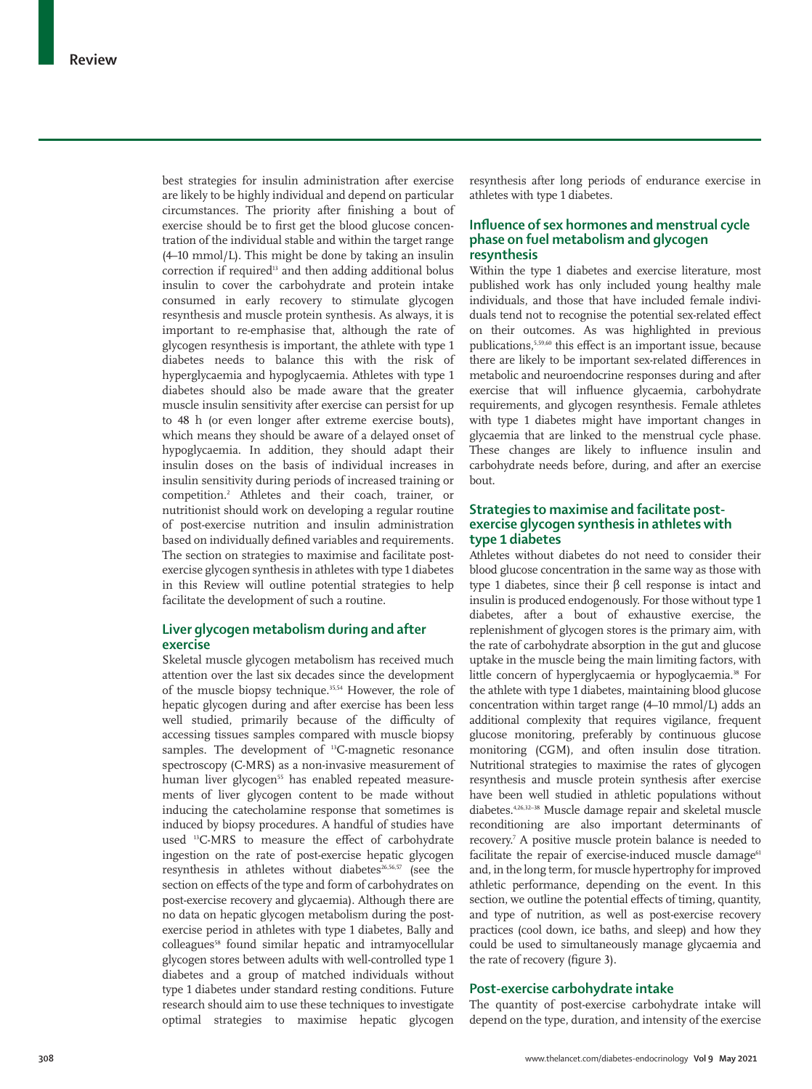best strategies for insulin administration after exercise are likely to be highly individual and depend on particular circumstances. The priority after finishing a bout of exercise should be to first get the blood glucose concentration of the individual stable and within the target range (4–10 mmol/L). This might be done by taking an insulin correction if required<sup>13</sup> and then adding additional bolus insulin to cover the carbohydrate and protein intake consumed in early recovery to stimulate glycogen resynthesis and muscle protein synthesis. As always, it is important to re-emphasise that, although the rate of glycogen resynthesis is important, the athlete with type 1 diabetes needs to balance this with the risk of hyperglycaemia and hypoglycaemia. Athletes with type 1 diabetes should also be made aware that the greater muscle insulin sensitivity after exercise can persist for up to 48 h (or even longer after extreme exercise bouts), which means they should be aware of a delayed onset of hypoglycaemia. In addition, they should adapt their insulin doses on the basis of individual increases in insulin sensitivity during periods of increased training or competition.2 Athletes and their coach, trainer, or nutritionist should work on developing a regular routine of post-exercise nutrition and insulin administration based on individually defined variables and requirements. The section on strategies to maximise and facilitate postexercise glycogen synthesis in athletes with type 1 diabetes in this Review will outline potential strategies to help facilitate the development of such a routine.

# **Liver glycogen metabolism during and after exercise**

Skeletal muscle glycogen metabolism has received much attention over the last six decades since the development of the muscle biopsy technique.35,54 However, the role of hepatic glycogen during and after exercise has been less well studied, primarily because of the difficulty of accessing tissues samples compared with muscle biopsy samples. The development of <sup>13</sup>C-magnetic resonance spectroscopy (C-MRS) as a non-invasive measurement of human liver glycogen<sup>55</sup> has enabled repeated measurements of liver glycogen content to be made without inducing the catecholamine response that sometimes is induced by biopsy procedures. A handful of studies have used 13C-MRS to measure the effect of carbohydrate ingestion on the rate of post-exercise hepatic glycogen resynthesis in athletes without diabetes<sup>26,56,57</sup> (see the section on effects of the type and form of carbohydrates on post-exercise recovery and glycaemia). Although there are no data on hepatic glycogen metabolism during the postexercise period in athletes with type 1 diabetes, Bally and colleagues<sup>58</sup> found similar hepatic and intramyocellular glycogen stores between adults with well-controlled type 1 diabetes and a group of matched individuals without type 1 diabetes under standard resting conditions. Future research should aim to use these techniques to investigate optimal strategies to maximise hepatic glycogen resynthesis after long periods of endurance exercise in athletes with type 1 diabetes.

# **Influence of sex hormones and menstrual cycle phase on fuel metabolism and glycogen resynthesis**

Within the type 1 diabetes and exercise literature, most published work has only included young healthy male individuals, and those that have included female individuals tend not to recognise the potential sex-related effect on their outcomes. As was highlighted in previous publications,5,59,60 this effect is an important issue, because there are likely to be important sex-related differences in metabolic and neuroendocrine responses during and after exercise that will influence glycaemia, carbohydrate requirements, and glycogen resynthesis. Female athletes with type 1 diabetes might have important changes in glycaemia that are linked to the menstrual cycle phase. These changes are likely to influence insulin and carbohydrate needs before, during, and after an exercise bout.

# **Strategies to maximise and facilitate postexercise glycogen synthesis in athletes with type 1 diabetes**

Athletes without diabetes do not need to consider their blood glucose concentration in the same way as those with type 1 diabetes, since their β cell response is intact and insulin is produced endogenously. For those without type 1 diabetes, after a bout of exhaustive exercise, the replenishment of glycogen stores is the primary aim, with the rate of carbohydrate absorption in the gut and glucose uptake in the muscle being the main limiting factors, with little concern of hyperglycaemia or hypoglycaemia.38 For the athlete with type 1 diabetes, maintaining blood glucose concentration within target range (4–10 mmol/L) adds an additional complexity that requires vigilance, frequent glucose monitoring, preferably by continuous glucose monitoring (CGM), and often insulin dose titration. Nutritional strategies to maximise the rates of glycogen resynthesis and muscle protein synthesis after exercise have been well studied in athletic populations without diabetes.4,26,32–38 Muscle damage repair and skeletal muscle reconditioning are also important determinants of recovery.7 A positive muscle protein balance is needed to facilitate the repair of exercise-induced muscle damage<sup>61</sup> and, in the long term, for muscle hypertrophy for improved athletic performance, depending on the event. In this section, we outline the potential effects of timing, quantity, and type of nutrition, as well as post-exercise recovery practices (cool down, ice baths, and sleep) and how they could be used to simultaneously manage glycaemia and the rate of recovery (figure 3).

# **Post-exercise carbohydrate intake**

The quantity of post-exercise carbohydrate intake will depend on the type, duration, and intensity of the exercise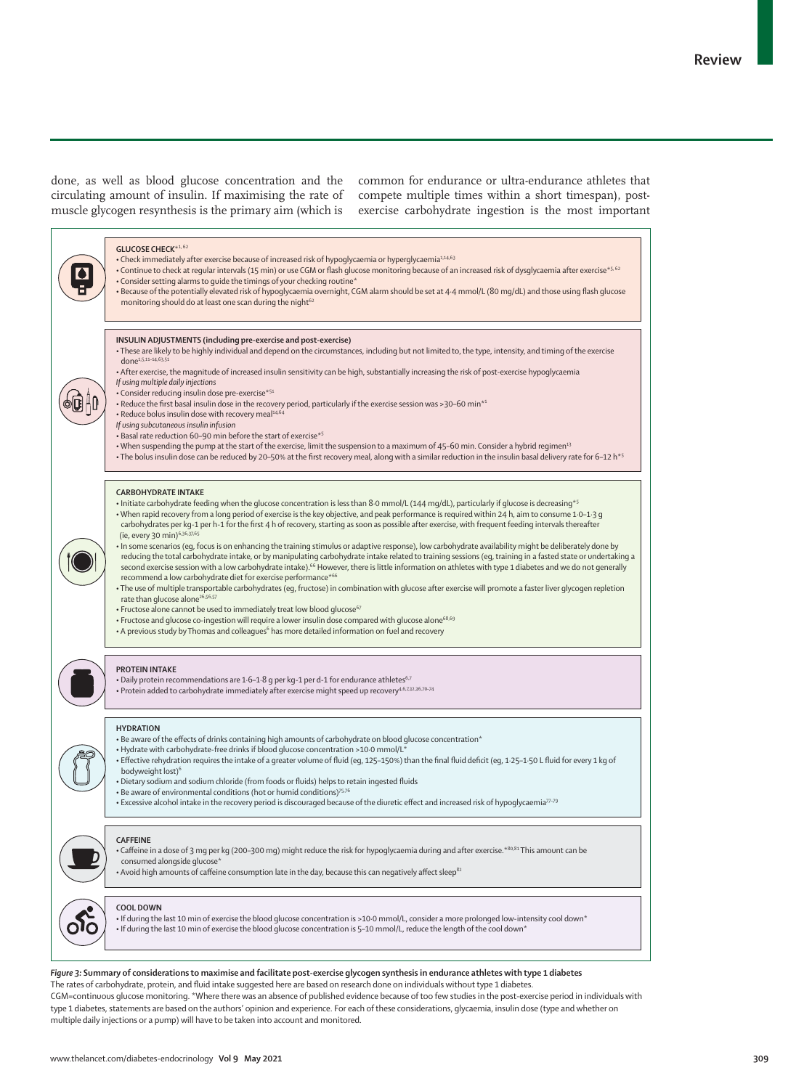done, as well as blood glucose concentration and the circulating amount of insulin. If maximising the rate of muscle glycogen resynthesis is the primary aim (which is

common for endurance or ultra-endurance athletes that compete multiple times within a short timespan), postexercise carbohydrate ingestion is the most important



#### *Figure 3:* **Summary of considerations to maximise and facilitate post-exercise glycogen synthesis in endurance athletes with type 1 diabetes**

The rates of carbohydrate, protein, and fluid intake suggested here are based on research done on individuals without type 1 diabetes.

CGM=continuous glucose monitoring. \*Where there was an absence of published evidence because of too few studies in the post-exercise period in individuals with type 1 diabetes, statements are based on the authors' opinion and experience. For each of these considerations, glycaemia, insulin dose (type and whether on multiple daily injections or a pump) will have to be taken into account and monitored.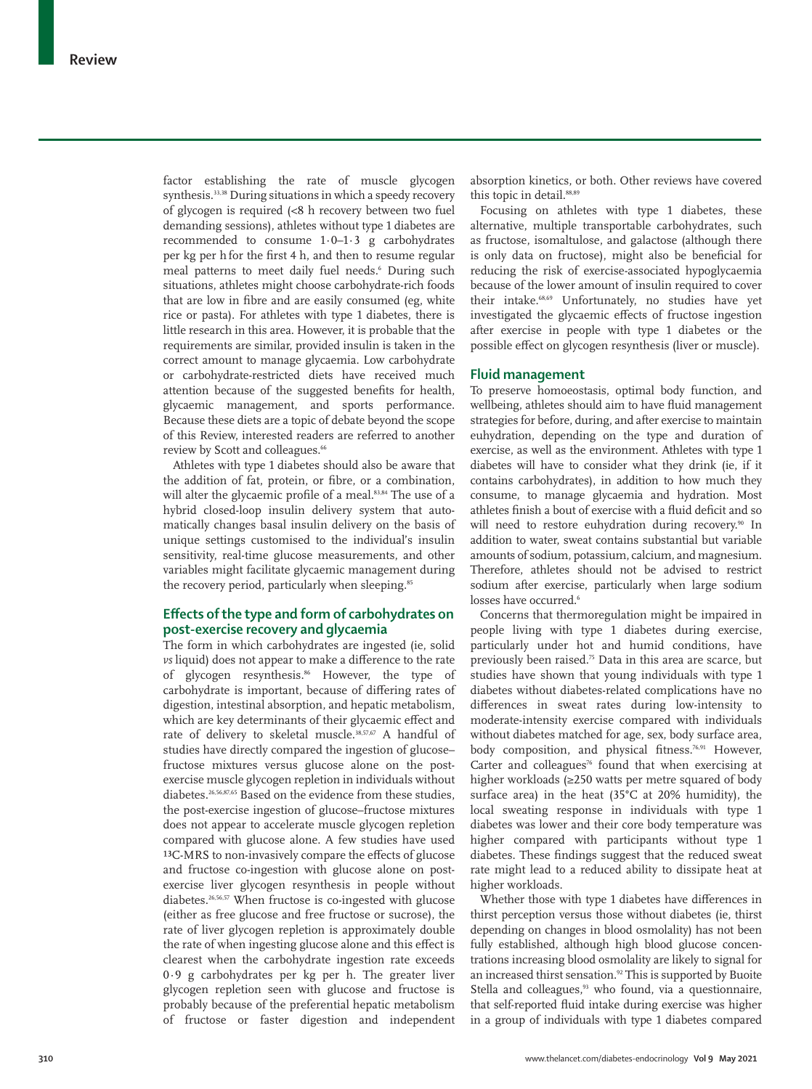factor establishing the rate of muscle glycogen synthesis.<sup>33,38</sup> During situations in which a speedy recovery of glycogen is required (<8 h recovery between two fuel demanding sessions), athletes without type 1 diabetes are recommended to consume 1·0–1·3 g carbohydrates per kg per h for the first 4 h, and then to resume regular meal patterns to meet daily fuel needs.6 During such situations, athletes might choose carbohydrate-rich foods that are low in fibre and are easily consumed (eg, white rice or pasta). For athletes with type 1 diabetes, there is little research in this area. However, it is probable that the requirements are similar, provided insulin is taken in the correct amount to manage glycaemia. Low carbohydrate or carbohydrate-restricted diets have received much attention because of the suggested benefits for health, glycaemic management, and sports performance. Because these diets are a topic of debate beyond the scope of this Review, interested readers are referred to another review by Scott and colleagues.<sup>66</sup>

Athletes with type 1 diabetes should also be aware that the addition of fat, protein, or fibre, or a combination, will alter the glycaemic profile of a meal.<sup>83,84</sup> The use of a hybrid closed-loop insulin delivery system that automatically changes basal insulin delivery on the basis of unique settings customised to the individual's insulin sensitivity, real-time glucose measurements, and other variables might facilitate glycaemic management during the recovery period, particularly when sleeping.<sup>85</sup>

## **Effects of the type and form of carbohydrates on post-exercise recovery and glycaemia**

The form in which carbohydrates are ingested (ie, solid *vs* liquid) does not appear to make a difference to the rate of glycogen resynthesis.<sup>86</sup> However, the type of carbohydrate is important, because of differing rates of digestion, intestinal absorption, and hepatic metabolism, which are key determinants of their glycaemic effect and rate of delivery to skeletal muscle.<sup>38,57,67</sup> A handful of studies have directly compared the ingestion of glucose– fructose mixtures versus glucose alone on the postexercise muscle glycogen repletion in individuals without diabetes.26,56,87,65 Based on the evidence from these studies, the post-exercise ingestion of glucose–fructose mixtures does not appear to accelerate muscle glycogen repletion compared with glucose alone. A few studies have used <sup>13</sup>C-MRS to non-invasively compare the effects of glucose and fructose co-ingestion with glucose alone on postexercise liver glycogen resynthesis in people without diabetes.26,56,57 When fructose is co-ingested with glucose (either as free glucose and free fructose or sucrose), the rate of liver glycogen repletion is approximately double the rate of when ingesting glucose alone and this effect is clearest when the carbohydrate ingestion rate exceeds 0·9 g carbohydrates per kg per h. The greater liver glycogen repletion seen with glucose and fructose is probably because of the preferential hepatic metabolism of fructose or faster digestion and independent

absorption kinetics, or both. Other reviews have covered this topic in detail.<sup>88,89</sup>

Focusing on athletes with type 1 diabetes, these alternative, multiple transportable carbohydrates, such as fructose, isomaltulose, and galactose (although there is only data on fructose), might also be beneficial for reducing the risk of exercise-associated hypoglycaemia because of the lower amount of insulin required to cover their intake.68,69 Unfortunately, no studies have yet investigated the glycaemic effects of fructose ingestion after exercise in people with type 1 diabetes or the possible effect on glycogen resynthesis (liver or muscle).

## **Fluid management**

To preserve homoeostasis, optimal body function, and wellbeing, athletes should aim to have fluid management strategies for before, during, and after exercise to maintain euhydration, depending on the type and duration of exercise, as well as the environment. Athletes with type 1 diabetes will have to consider what they drink (ie, if it contains carbohydrates), in addition to how much they consume, to manage glycaemia and hydration. Most athletes finish a bout of exercise with a fluid deficit and so will need to restore euhydration during recovery.<sup>90</sup> In addition to water, sweat contains substantial but variable amounts of sodium, potassium, calcium, and magnesium. Therefore, athletes should not be advised to restrict sodium after exercise, particularly when large sodium losses have occurred.<sup>6</sup>

Concerns that thermoregulation might be impaired in people living with type 1 diabetes during exercise, particularly under hot and humid conditions, have previously been raised.75 Data in this area are scarce, but studies have shown that young individuals with type 1 diabetes without diabetes-related complications have no differences in sweat rates during low-intensity to moderate-intensity exercise compared with individuals without diabetes matched for age, sex, body surface area, body composition, and physical fitness.<sup>76,91</sup> However, Carter and colleagues $76$  found that when exercising at higher workloads (≥250 watts per metre squared of body surface area) in the heat (35°C at 20% humidity), the local sweating response in individuals with type 1 diabetes was lower and their core body temperature was higher compared with participants without type 1 diabetes. These findings suggest that the reduced sweat rate might lead to a reduced ability to dissipate heat at higher workloads.

Whether those with type 1 diabetes have differences in thirst perception versus those without diabetes (ie, thirst depending on changes in blood osmolality) has not been fully established, although high blood glucose concentrations increasing blood osmolality are likely to signal for an increased thirst sensation.<sup>92</sup> This is supported by Buoite Stella and colleagues,<sup>93</sup> who found, via a questionnaire, that self-reported fluid intake during exercise was higher in a group of individuals with type 1 diabetes compared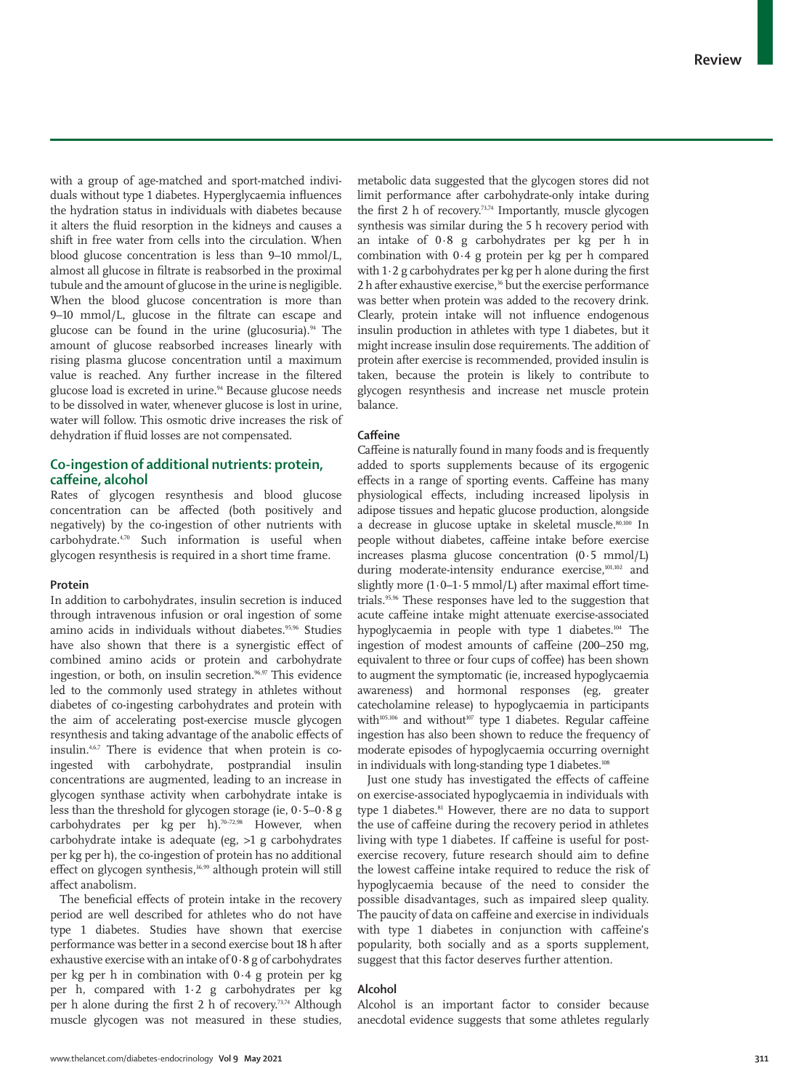with a group of age-matched and sport-matched individuals without type 1 diabetes. Hyperglycaemia influences the hydration status in individuals with diabetes because it alters the fluid resorption in the kidneys and causes a shift in free water from cells into the circulation. When blood glucose concentration is less than 9–10 mmol/L, almost all glucose in filtrate is reabsorbed in the proximal tubule and the amount of glucose in the urine is negligible. When the blood glucose concentration is more than 9–10 mmol/L, glucose in the filtrate can escape and glucose can be found in the urine (glucosuria). $94$  The amount of glucose reabsorbed increases linearly with rising plasma glucose concentration until a maximum value is reached. Any further increase in the filtered glucose load is excreted in urine.<sup>94</sup> Because glucose needs to be dissolved in water, whenever glucose is lost in urine, water will follow. This osmotic drive increases the risk of dehydration if fluid losses are not compensated.

# **Co-ingestion of additional nutrients: protein, caffeine, alcohol**

Rates of glycogen resynthesis and blood glucose concentration can be affected (both positively and negatively) by the co-ingestion of other nutrients with carbohydrate.4,70 Such information is useful when glycogen resynthesis is required in a short time frame.

## **Protein**

In addition to carbohydrates, insulin secretion is induced through intravenous infusion or oral ingestion of some amino acids in individuals without diabetes.<sup>95,96</sup> Studies have also shown that there is a synergistic effect of combined amino acids or protein and carbohydrate ingestion, or both, on insulin secretion.<sup>96,97</sup> This evidence led to the commonly used strategy in athletes without diabetes of co-ingesting carbohydrates and protein with the aim of accelerating post-exercise muscle glycogen resynthesis and taking advantage of the anabolic effects of insulin.4,6,7 There is evidence that when protein is coingested with carbohydrate, postprandial insulin concentrations are augmented, leading to an increase in glycogen synthase activity when carbohydrate intake is less than the threshold for glycogen storage (ie,  $0.5-0.8$  g carbohydrates per  $kg$  per h).<sup>70–72,98</sup> However, when carbohydrate intake is adequate (eg, >1 g carbohydrates per kg per h), the co-ingestion of protein has no additional effect on glycogen synthesis, $36,99$  although protein will still affect anabolism.

The beneficial effects of protein intake in the recovery period are well described for athletes who do not have type 1 diabetes. Studies have shown that exercise performance was better in a second exercise bout 18 h after exhaustive exercise with an intake of 0·8 g of carbohydrates per kg per h in combination with 0·4 g protein per kg per h, compared with 1·2 g carbohydrates per kg per h alone during the first 2 h of recovery.73,74 Although muscle glycogen was not measured in these studies, metabolic data suggested that the glycogen stores did not limit performance after carbohydrate-only intake during the first 2 h of recovery.<sup>73,74</sup> Importantly, muscle glycogen synthesis was similar during the 5 h recovery period with an intake of 0·8 g carbohydrates per kg per h in combination with 0·4 g protein per kg per h compared with 1·2 g carbohydrates per kg per h alone during the first 2 h after exhaustive exercise,<sup>36</sup> but the exercise performance was better when protein was added to the recovery drink. Clearly, protein intake will not influence endogenous insulin production in athletes with type 1 diabetes, but it might increase insulin dose requirements. The addition of protein after exercise is recommended, provided insulin is taken, because the protein is likely to contribute to glycogen resynthesis and increase net muscle protein balance.

#### **Caffeine**

Caffeine is naturally found in many foods and is frequently added to sports supplements because of its ergogenic effects in a range of sporting events. Caffeine has many physiological effects, including increased lipolysis in adipose tissues and hepatic glucose production, alongside a decrease in glucose uptake in skeletal muscle.80,100 In people without diabetes, caffeine intake before exercise increases plasma glucose concentration (0·5 mmol/L) during moderate-intensity endurance exercise,<sup>101,102</sup> and slightly more  $(1.0-1.5 \text{ mmol/L})$  after maximal effort timetrials.95,96 These responses have led to the suggestion that acute caffeine intake might attenuate exercise-associated hypoglycaemia in people with type 1 diabetes.<sup>104</sup> The ingestion of modest amounts of caffeine (200–250 mg, equivalent to three or four cups of coffee) has been shown to augment the symptomatic (ie, increased hypoglycaemia awareness) and hormonal responses (eg, greater catecholamine release) to hypoglycaemia in participants with $105,106$  and without<sup>107</sup> type 1 diabetes. Regular caffeine ingestion has also been shown to reduce the frequency of moderate episodes of hypoglycaemia occurring overnight in individuals with long-standing type 1 diabetes.<sup>108</sup>

Just one study has investigated the effects of caffeine on exercise-associated hypoglycaemia in individuals with type 1 diabetes.<sup>81</sup> However, there are no data to support the use of caffeine during the recovery period in athletes living with type 1 diabetes. If caffeine is useful for postexercise recovery, future research should aim to define the lowest caffeine intake required to reduce the risk of hypoglycaemia because of the need to consider the possible disadvantages, such as impaired sleep quality. The paucity of data on caffeine and exercise in individuals with type 1 diabetes in conjunction with caffeine's popularity, both socially and as a sports supplement, suggest that this factor deserves further attention.

## **Alcohol**

Alcohol is an important factor to consider because anecdotal evidence suggests that some athletes regularly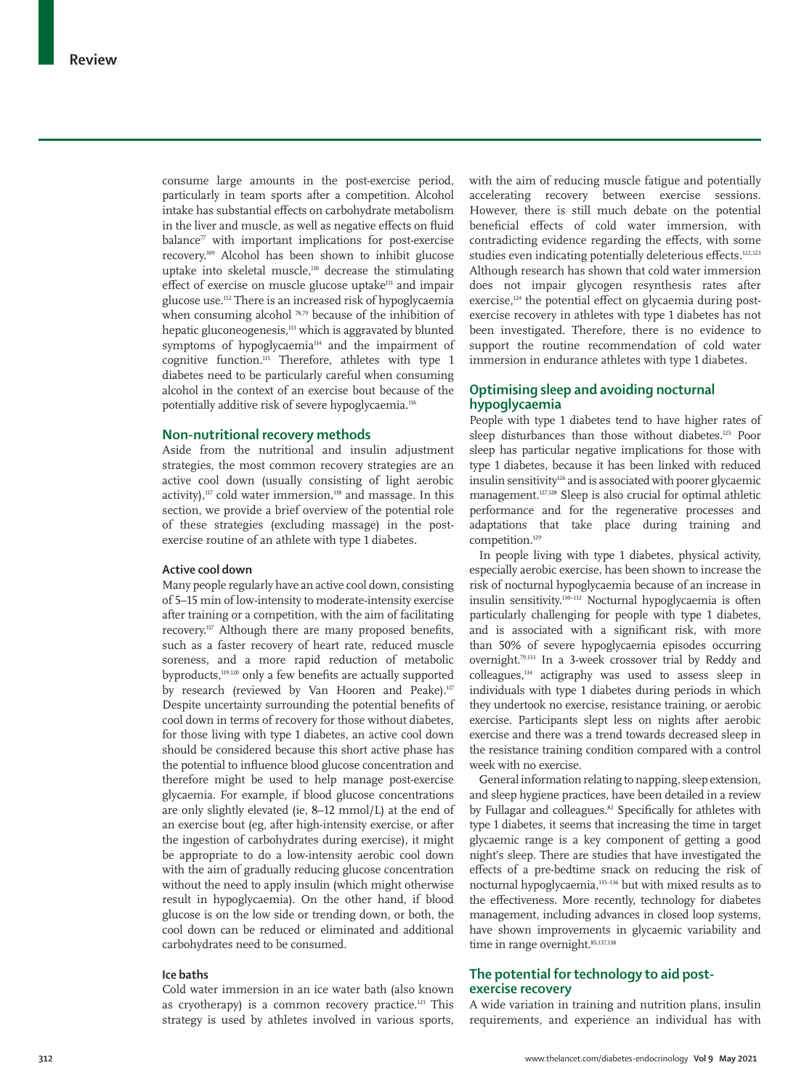consume large amounts in the post-exercise period, particularly in team sports after a competition. Alcohol intake has substantial effects on carbohydrate metabolism in the liver and muscle, as well as negative effects on fluid  $b$ alance<sup> $\pi$ </sup> with important implications for post-exercise recovery.109 Alcohol has been shown to inhibit glucose uptake into skeletal muscle,110 decrease the stimulating effect of exercise on muscle glucose uptake<sup>111</sup> and impair glucose use.112 There is an increased risk of hypoglycaemia when consuming alcohol <sup>78,79</sup> because of the inhibition of hepatic gluconeogenesis,<sup>113</sup> which is aggravated by blunted symptoms of hypoglycaemia<sup>114</sup> and the impairment of cognitive function.115 Therefore, athletes with type 1 diabetes need to be particularly careful when consuming alcohol in the context of an exercise bout because of the potentially additive risk of severe hypoglycaemia.116

#### **Non-nutritional recovery methods**

Aside from the nutritional and insulin adjustment strategies, the most common recovery strategies are an active cool down (usually consisting of light aerobic activity),<sup>117</sup> cold water immersion,<sup>118</sup> and massage. In this section, we provide a brief overview of the potential role of these strategies (excluding massage) in the postexercise routine of an athlete with type 1 diabetes.

#### **Active cool down**

Many people regularly have an active cool down, consisting of 5–15 min of low-intensity to moderate-intensity exercise after training or a competition, with the aim of facilitating recovery.117 Although there are many proposed benefits, such as a faster recovery of heart rate, reduced muscle soreness, and a more rapid reduction of metabolic byproducts,119,120 only a few benefits are actually supported by research (reviewed by Van Hooren and Peake).<sup>117</sup> Despite uncertainty surrounding the potential benefits of cool down in terms of recovery for those without diabetes, for those living with type 1 diabetes, an active cool down should be considered because this short active phase has the potential to influence blood glucose concentration and therefore might be used to help manage post-exercise glycaemia. For example, if blood glucose concentrations are only slightly elevated (ie, 8–12 mmol/L) at the end of an exercise bout (eg, after high-intensity exercise, or after the ingestion of carbohydrates during exercise), it might be appropriate to do a low-intensity aerobic cool down with the aim of gradually reducing glucose concentration without the need to apply insulin (which might otherwise result in hypoglycaemia). On the other hand, if blood glucose is on the low side or trending down, or both, the cool down can be reduced or eliminated and additional carbohydrates need to be consumed.

#### **Ice baths**

Cold water immersion in an ice water bath (also known as cryotherapy) is a common recovery practice.<sup>121</sup> This strategy is used by athletes involved in various sports,

with the aim of reducing muscle fatigue and potentially accelerating recovery between exercise sessions. However, there is still much debate on the potential beneficial effects of cold water immersion, with contradicting evidence regarding the effects, with some studies even indicating potentially deleterious effects.<sup>122,123</sup> Although research has shown that cold water immersion does not impair glycogen resynthesis rates after exercise,<sup>124</sup> the potential effect on glycaemia during postexercise recovery in athletes with type 1 diabetes has not been investigated. Therefore, there is no evidence to support the routine recommendation of cold water immersion in endurance athletes with type 1 diabetes.

# **Optimising sleep and avoiding nocturnal hypoglycaemia**

People with type 1 diabetes tend to have higher rates of sleep disturbances than those without diabetes.<sup>125</sup> Poor sleep has particular negative implications for those with type 1 diabetes, because it has been linked with reduced insulin sensitivity<sup>126</sup> and is associated with poorer glycaemic management.127,128 Sleep is also crucial for optimal athletic performance and for the regenerative processes and adaptations that take place during training and competition.129

In people living with type 1 diabetes, physical activity, especially aerobic exercise, has been shown to increase the risk of nocturnal hypoglycaemia because of an increase in insulin sensitivity.130–132 Nocturnal hypoglycaemia is often particularly challenging for people with type 1 diabetes, and is associated with a significant risk, with more than 50% of severe hypoglycaemia episodes occurring overnight.79,133 In a 3-week crossover trial by Reddy and colleagues,134 actigraphy was used to assess sleep in individuals with type 1 diabetes during periods in which they undertook no exercise, resistance training, or aerobic exercise. Participants slept less on nights after aerobic exercise and there was a trend towards decreased sleep in the resistance training condition compared with a control week with no exercise.

General information relating to napping, sleep extension, and sleep hygiene practices, have been detailed in a review by Fullagar and colleagues.<sup>82</sup> Specifically for athletes with type 1 diabetes, it seems that increasing the time in target glycaemic range is a key component of getting a good night's sleep. There are studies that have investigated the effects of a pre-bedtime snack on reducing the risk of nocturnal hypoglycaemia,135–136 but with mixed results as to the effectiveness. More recently, technology for diabetes management, including advances in closed loop systems, have shown improvements in glycaemic variability and time in range overnight.<sup>85,137,138</sup>

# **The potential for technology to aid postexercise recovery**

A wide variation in training and nutrition plans, insulin requirements, and experience an individual has with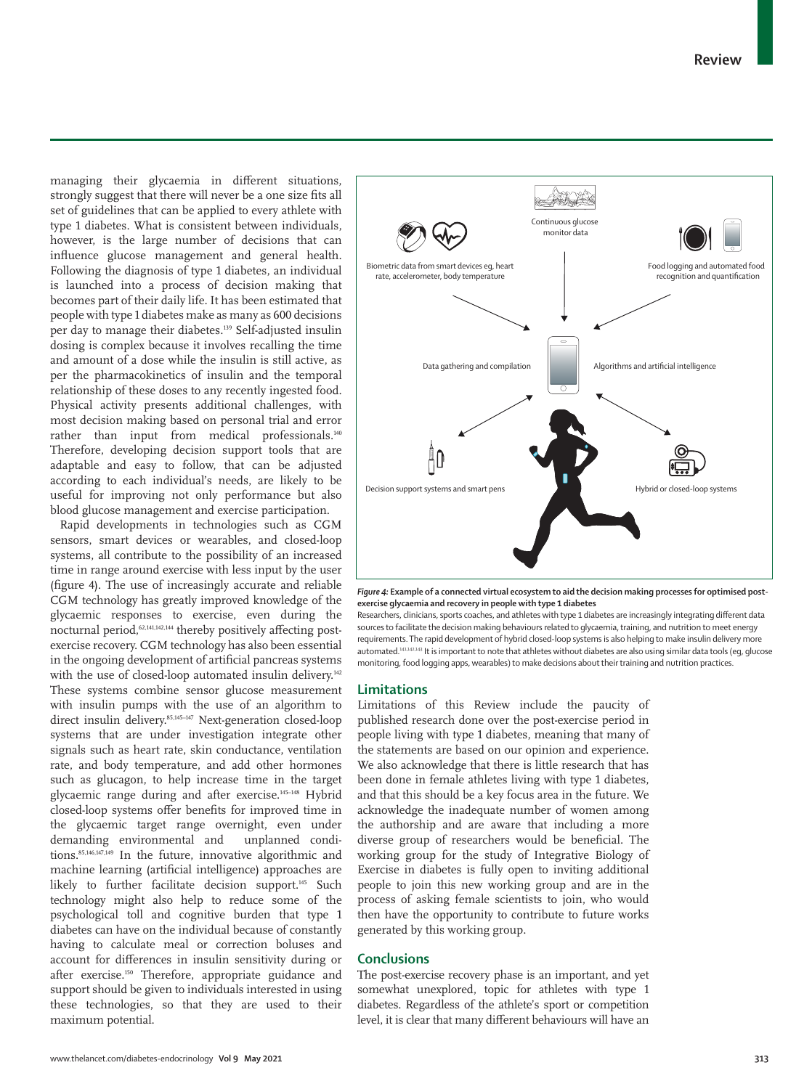managing their glycaemia in different situations, strongly suggest that there will never be a one size fits all set of guidelines that can be applied to every athlete with type 1 diabetes. What is consistent between individuals, however, is the large number of decisions that can influence glucose management and general health. Following the diagnosis of type 1 diabetes, an individual is launched into a process of decision making that becomes part of their daily life. It has been estimated that people with type 1 diabetes make as many as 600 decisions per day to manage their diabetes.139 Self-adjusted insulin dosing is complex because it involves recalling the time and amount of a dose while the insulin is still active, as per the pharmacokinetics of insulin and the temporal relationship of these doses to any recently ingested food. Physical activity presents additional challenges, with most decision making based on personal trial and error rather than input from medical professionals.140 Therefore, developing decision support tools that are adaptable and easy to follow, that can be adjusted according to each individual's needs, are likely to be useful for improving not only performance but also blood glucose management and exercise participation.

Rapid developments in technologies such as CGM sensors, smart devices or wearables, and closed-loop systems, all contribute to the possibility of an increased time in range around exercise with less input by the user (figure 4). The use of increasingly accurate and reliable CGM technology has greatly improved knowledge of the glycaemic responses to exercise, even during the nocturnal period,<sup>62,141,142,144</sup> thereby positively affecting postexercise recovery. CGM technology has also been essential in the ongoing development of artificial pancreas systems with the use of closed-loop automated insulin delivery.<sup>142</sup> These systems combine sensor glucose measurement with insulin pumps with the use of an algorithm to direct insulin delivery.<sup>85,145–147</sup> Next-generation closed-loop systems that are under investigation integrate other signals such as heart rate, skin conductance, ventilation rate, and body temperature, and add other hormones such as glucagon, to help increase time in the target glycaemic range during and after exercise.145–148 Hybrid closed-loop systems offer benefits for improved time in the glycaemic target range overnight, even under demanding environmental and unplanned conditions.85,146,147,149 In the future, innovative algorithmic and machine learning (artificial intelligence) approaches are likely to further facilitate decision support.<sup>145</sup> Such technology might also help to reduce some of the psychological toll and cognitive burden that type 1 diabetes can have on the individual because of constantly having to calculate meal or correction boluses and account for differences in insulin sensitivity during or after exercise.150 Therefore, appropriate guidance and support should be given to individuals interested in using these technologies, so that they are used to their maximum potential.



*Figure 4:* **Example of a connected virtual ecosystem to aid the decision making processes for optimised postexercise glycaemia and recovery in people with type 1 diabetes**

Researchers, clinicians, sports coaches, and athletes with type 1 diabetes are increasingly integrating different data sources to facilitate the decision making behaviours related to glycaemia, training, and nutrition to meet energy requirements. The rapid development of hybrid closed-loop systems is also helping to make insulin delivery more automated.141,142,143 It is important to note that athletes without diabetes are also using similar data tools (eg, glucose monitoring, food logging apps, wearables) to make decisions about their training and nutrition practices.

## **Limitations**

Limitations of this Review include the paucity of published research done over the post-exercise period in people living with type 1 diabetes, meaning that many of the statements are based on our opinion and experience. We also acknowledge that there is little research that has been done in female athletes living with type 1 diabetes, and that this should be a key focus area in the future. We acknowledge the inadequate number of women among the authorship and are aware that including a more diverse group of researchers would be beneficial. The working group for the study of Integrative Biology of Exercise in diabetes is fully open to inviting additional people to join this new working group and are in the process of asking female scientists to join, who would then have the opportunity to contribute to future works generated by this working group.

#### **Conclusions**

The post-exercise recovery phase is an important, and yet somewhat unexplored, topic for athletes with type 1 diabetes. Regardless of the athlete's sport or competition level, it is clear that many different behaviours will have an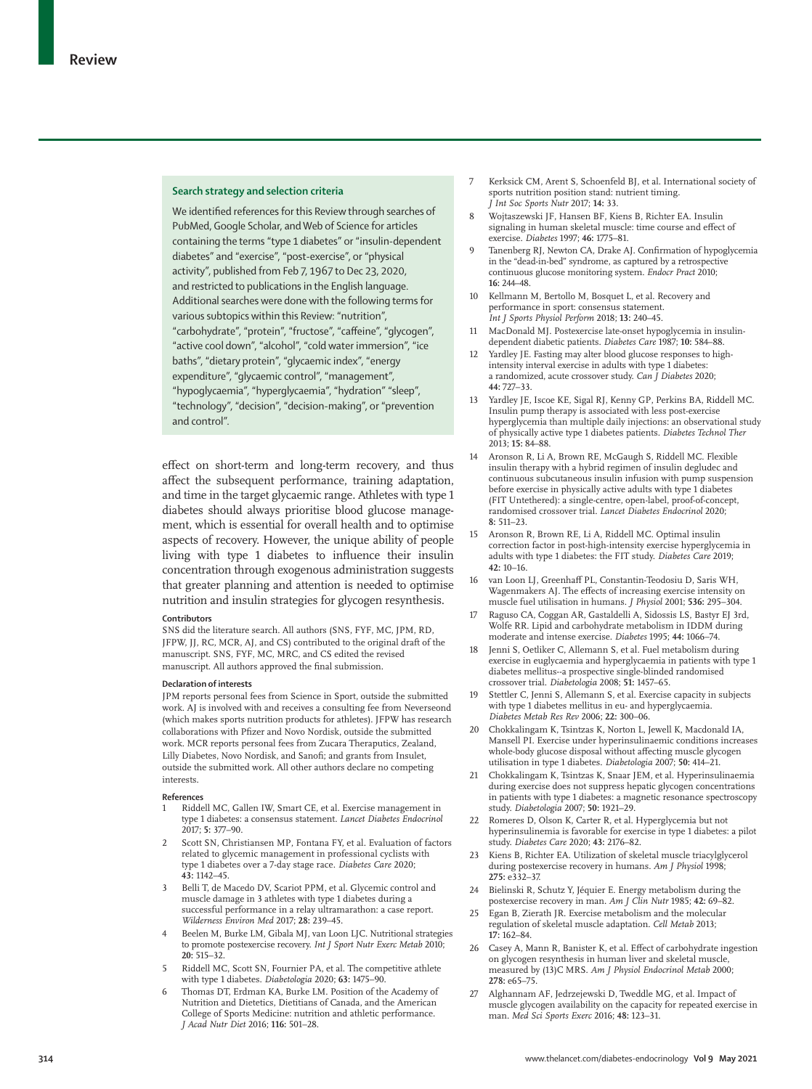#### **Search strategy and selection criteria**

We identified references for this Review through searches of PubMed, Google Scholar, and Web of Science for articles containing the terms "type 1 diabetes" or "insulin-dependent diabetes" and "exercise", "post-exercise", or "physical activity", published from Feb 7, 1967 to Dec 23, 2020, and restricted to publications in the English language. Additional searches were done with the following terms for various subtopics within this Review: "nutrition", "carbohydrate", "protein", "fructose", "caffeine", "glycogen", "active cool down", "alcohol", "cold water immersion", "ice baths", "dietary protein", "glycaemic index", "energy expenditure", "glycaemic control", "management", "hypoglycaemia", "hyperglycaemia", "hydration" "sleep", "technology", "decision", "decision-making", or "prevention and control".

effect on short-term and long-term recovery, and thus affect the subsequent performance, training adaptation, and time in the target glycaemic range. Athletes with type 1 diabetes should always prioritise blood glucose management, which is essential for overall health and to optimise aspects of recovery. However, the unique ability of people living with type 1 diabetes to influence their insulin concentration through exogenous administration suggests that greater planning and attention is needed to optimise nutrition and insulin strategies for glycogen resynthesis.

#### **Contributors**

SNS did the literature search. All authors (SNS, FYF, MC, JPM, RD, JFPW, JJ, RC, MCR, AJ, and CS) contributed to the original draft of the manuscript. SNS, FYF, MC, MRC, and CS edited the revised manuscript. All authors approved the final submission.

#### **Declaration of interests**

JPM reports personal fees from Science in Sport, outside the submitted work. AJ is involved with and receives a consulting fee from Neverseond (which makes sports nutrition products for athletes). JFPW has research collaborations with Pfizer and Novo Nordisk, outside the submitted work. MCR reports personal fees from Zucara Theraputics, Zealand, Lilly Diabetes, Novo Nordisk, and Sanofi; and grants from Insulet, outside the submitted work. All other authors declare no competing interests.

#### **References**

- 1 Riddell MC, Gallen IW, Smart CE, et al. Exercise management in type 1 diabetes: a consensus statement. *Lancet Diabetes Endocrinol* 2017; **5:** 377–90.
- 2 Scott SN, Christiansen MP, Fontana FY, et al. Evaluation of factors related to glycemic management in professional cyclists with type 1 diabetes over a 7-day stage race. *Diabetes Care* 2020; **43:** 1142–45.
- 3 Belli T, de Macedo DV, Scariot PPM, et al. Glycemic control and muscle damage in 3 athletes with type 1 diabetes during a successful performance in a relay ultramarathon: a case report. *Wilderness Environ Med* 2017; **28:** 239–45.
- 4 Beelen M, Burke LM, Gibala MJ, van Loon LJC. Nutritional strategies to promote postexercise recovery. *Int J Sport Nutr Exerc Metab* 2010; **20:** 515–32.
- 5 Riddell MC, Scott SN, Fournier PA, et al. The competitive athlete with type 1 diabetes. *Diabetologia* 2020; **63:** 1475–90.
- 6 Thomas DT, Erdman KA, Burke LM. Position of the Academy of Nutrition and Dietetics, Dietitians of Canada, and the American College of Sports Medicine: nutrition and athletic performance. *J Acad Nutr Diet* 2016; **116:** 501–28.
- 7 Kerksick CM, Arent S, Schoenfeld BJ, et al. International society of sports nutrition position stand: nutrient timing. *J Int Soc Sports Nutr* 2017; **14:** 33.
- 8 Wojtaszewski JF, Hansen BF, Kiens B, Richter EA. Insulin signaling in human skeletal muscle: time course and effect of exercise. *Diabetes* 1997; **46:** 1775–81.
- Tanenberg RJ, Newton CA, Drake AJ. Confirmation of hypoglycemia in the "dead-in-bed" syndrome, as captured by a retrospective continuous glucose monitoring system. *Endocr Pract* 2010; **16:** 244–48.
- 10 Kellmann M, Bertollo M, Bosquet L, et al. Recovery and performance in sport: consensus statement. *Int J Sports Physiol Perform* 2018; **13:** 240–45.
- MacDonald MJ. Postexercise late-onset hypoglycemia in insulindependent diabetic patients. *Diabetes Care* 1987; **10:** 584–88.
- 12 Yardley JE. Fasting may alter blood glucose responses to highintensity interval exercise in adults with type 1 diabetes: a randomized, acute crossover study. *Can J Diabetes* 2020; **44:** 727–33.
- 13 Yardley JE, Iscoe KE, Sigal RJ, Kenny GP, Perkins BA, Riddell MC. Insulin pump therapy is associated with less post-exercise hyperglycemia than multiple daily injections: an observational study of physically active type 1 diabetes patients. *Diabetes Technol Ther* 2013; **15:** 84–88.
- 14 Aronson R, Li A, Brown RE, McGaugh S, Riddell MC. Flexible insulin therapy with a hybrid regimen of insulin degludec and continuous subcutaneous insulin infusion with pump suspension before exercise in physically active adults with type 1 diabetes (FIT Untethered): a single-centre, open-label, proof-of-concept, randomised crossover trial. *Lancet Diabetes Endocrinol* 2020; **8:** 511–23.
- 15 Aronson R, Brown RE, Li A, Riddell MC. Optimal insulin correction factor in post-high-intensity exercise hyperglycemia in adults with type 1 diabetes: the FIT study. *Diabetes Care* 2019; **42:** 10–16.
- 16 van Loon LJ, Greenhaff PL, Constantin-Teodosiu D, Saris WH, Wagenmakers AJ. The effects of increasing exercise intensity on muscle fuel utilisation in humans. *J Physiol* 2001; **536:** 295–304.
- 17 Raguso CA, Coggan AR, Gastaldelli A, Sidossis LS, Bastyr EJ 3rd, Wolfe RR. Lipid and carbohydrate metabolism in IDDM during moderate and intense exercise. *Diabetes* 1995; **44:** 1066–74.
- Jenni S, Oetliker C, Allemann S, et al. Fuel metabolism during exercise in euglycaemia and hyperglycaemia in patients with type 1 diabetes mellitus--a prospective single-blinded randomised crossover trial. *Diabetologia* 2008; **51:** 1457–65.
- 19 Stettler C, Jenni S, Allemann S, et al. Exercise capacity in subjects with type 1 diabetes mellitus in eu- and hyperglycaemia. *Diabetes Metab Res Rev* 2006; **22:** 300–06.
- 20 Chokkalingam K, Tsintzas K, Norton L, Jewell K, Macdonald IA, Mansell PI. Exercise under hyperinsulinaemic conditions increases whole-body glucose disposal without affecting muscle glycogen utilisation in type 1 diabetes. *Diabetologia* 2007; **50:** 414–21.
- 21 Chokkalingam K, Tsintzas K, Snaar JEM, et al. Hyperinsulinaemia during exercise does not suppress hepatic glycogen concentrations in patients with type 1 diabetes: a magnetic resonance spectroscopy study. *Diabetologia* 2007; **50:** 1921–29.
- 22 Romeres D, Olson K, Carter R, et al. Hyperglycemia but not hyperinsulinemia is favorable for exercise in type 1 diabetes: a pilot study. *Diabetes Care* 2020; **43:** 2176–82.
- 23 Kiens B, Richter EA. Utilization of skeletal muscle triacylglycerol during postexercise recovery in humans. *Am J Physiol* 1998; **275:** e332–37.
- 24 Bielinski R, Schutz Y, Jéquier E. Energy metabolism during the postexercise recovery in man. *Am J Clin Nutr* 1985; **42:** 69–82.
- 25 Egan B, Zierath JR. Exercise metabolism and the molecular regulation of skeletal muscle adaptation. *Cell Metab* 2013; **17:** 162–84.
- 26 Casey A, Mann R, Banister K, et al. Effect of carbohydrate ingestion on glycogen resynthesis in human liver and skeletal muscle, measured by (13)C MRS. *Am J Physiol Endocrinol Metab* 2000; **278:** e65–75.
- 27 Alghannam AF, Jedrzejewski D, Tweddle MG, et al. Impact of muscle glycogen availability on the capacity for repeated exercise in man. *Med Sci Sports Exerc* 2016; **48:** 123–31.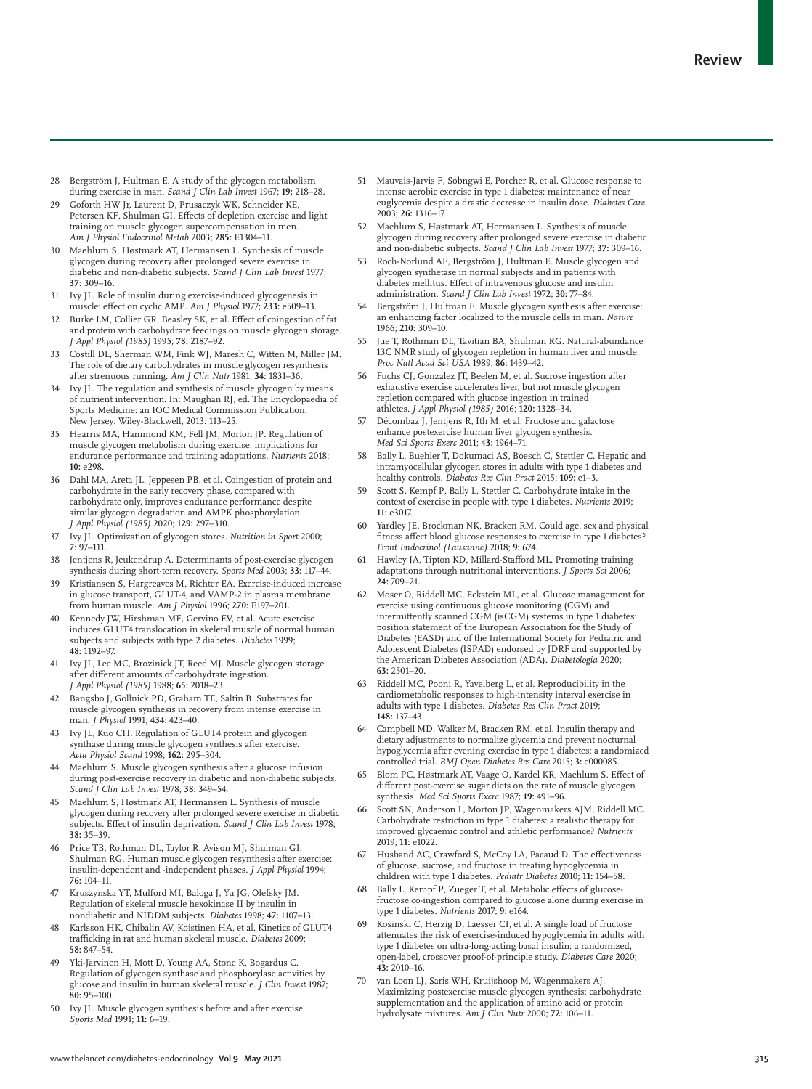- 28 Bergström J, Hultman E. A study of the glycogen metabolism during exercise in man. *Scand J Clin Lab Invest* 1967; **19:** 218–28.
- 29 Goforth HW Jr, Laurent D, Prusaczyk WK, Schneider KE, Petersen KF, Shulman GI. Effects of depletion exercise and light training on muscle glycogen supercompensation in men. *Am J Physiol Endocrinol Metab* 2003; **285:** E1304–11.
- 30 Maehlum S, Høstmark AT, Hermansen L. Synthesis of muscle glycogen during recovery after prolonged severe exercise in diabetic and non-diabetic subjects. *Scand J Clin Lab Invest* 1977; **37:** 309–16.
- 31 Ivy JL. Role of insulin during exercise-induced glycogenesis in muscle: effect on cyclic AMP. *Am J Physiol* 1977; **233:** e509–13.
- 32 Burke LM, Collier GR, Beasley SK, et al. Effect of coingestion of fat and protein with carbohydrate feedings on muscle glycogen storage. *J Appl Physiol (1985)* 1995; **78:** 2187–92.
- 33 Costill DL, Sherman WM, Fink WJ, Maresh C, Witten M, Miller JM. The role of dietary carbohydrates in muscle glycogen resynthesis after strenuous running. *Am J Clin Nutr* 1981; **34:** 1831–36.
- Ivy JL. The regulation and synthesis of muscle glycogen by means of nutrient intervention. In: Maughan RJ, ed. The Encyclopaedia of Sports Medicine: an IOC Medical Commission Publication. New Jersey: Wiley-Blackwell, 2013: 113–25.
- 35 Hearris MA, Hammond KM, Fell JM, Morton JP. Regulation of muscle glycogen metabolism during exercise: implications for endurance performance and training adaptations. *Nutrients* 2018; **10:** e298.
- 36 Dahl MA, Areta JL, Jeppesen PB, et al. Coingestion of protein and carbohydrate in the early recovery phase, compared with carbohydrate only, improves endurance performance despite similar glycogen degradation and AMPK phosphorylation. *J Appl Physiol (1985)* 2020; **129:** 297–310.
- 37 Ivy JL. Optimization of glycogen stores. *Nutrition in Sport* 2000; **7:** 97–111.
- 38 Jentjens R, Jeukendrup A. Determinants of post-exercise glycogen synthesis during short-term recovery. *Sports Med* 2003; **33:** 117–44.
- 39 Kristiansen S, Hargreaves M, Richter EA. Exercise-induced increase in glucose transport, GLUT-4, and VAMP-2 in plasma membrane from human muscle. *Am J Physiol* 1996; **270:** E197–201.
- Kennedy JW, Hirshman MF, Gervino EV, et al. Acute exercise induces GLUT4 translocation in skeletal muscle of normal human subjects and subjects with type 2 diabetes. *Diabetes* 1999; **48:** 1192–97.
- Ivy JL, Lee MC, Brozinick JT, Reed MJ. Muscle glycogen storage after different amounts of carbohydrate ingestion. *J Appl Physiol (1985)* 1988; **65:** 2018–23.
- 42 Bangsbo J, Gollnick PD, Graham TE, Saltin B. Substrates for muscle glycogen synthesis in recovery from intense exercise in man. *J Physiol* 1991; **434:** 423–40.
- Ivy JL, Kuo CH. Regulation of GLUT4 protein and glycogen synthase during muscle glycogen synthesis after exercise. *Acta Physiol Scand* 1998; **162:** 295–304.
- Maehlum S. Muscle glycogen synthesis after a glucose infusion during post-exercise recovery in diabetic and non-diabetic subjects. *Scand J Clin Lab Invest* 1978; **38:** 349–54.
- 45 Maehlum S, Høstmark AT, Hermansen L. Synthesis of muscle glycogen during recovery after prolonged severe exercise in diabetic subjects. Effect of insulin deprivation. *Scand J Clin Lab Invest* 1978; **38:** 35–39.
- Price TB, Rothman DL, Taylor R, Avison MJ, Shulman GI, Shulman RG. Human muscle glycogen resynthesis after exercise: insulin-dependent and -independent phases. *J Appl Physiol* 1994; **76:** 104–11.
- 47 Kruszynska YT, Mulford MI, Baloga J, Yu JG, Olefsky JM. Regulation of skeletal muscle hexokinase II by insulin in nondiabetic and NIDDM subjects. *Diabetes* 1998; **47:** 1107–13.
- Karlsson HK, Chibalin AV, Koistinen HA, et al. Kinetics of GLUT4 trafficking in rat and human skeletal muscle. *Diabetes* 2009; **58:** 847–54.
- Yki-Järvinen H, Mott D, Young AA, Stone K, Bogardus C. Regulation of glycogen synthase and phosphorylase activities by glucose and insulin in human skeletal muscle. *J Clin Invest* 1987; **80:** 95–100.
- 50 Ivy JL. Muscle glycogen synthesis before and after exercise. *Sports Med* 1991; **11:** 6–19.
- 51 Mauvais-Jarvis F, Sobngwi E, Porcher R, et al. Glucose response to intense aerobic exercise in type 1 diabetes: maintenance of near euglycemia despite a drastic decrease in insulin dose. *Diabetes Care* 2003; **26:** 1316–17.
- 52 Maehlum S, Høstmark AT, Hermansen L. Synthesis of muscle glycogen during recovery after prolonged severe exercise in diabetic and non-diabetic subjects. *Scand J Clin Lab Invest* 1977; **37:** 309–16.
- 53 Roch-Norlund AE, Bergström J, Hultman E. Muscle glycogen and glycogen synthetase in normal subjects and in patients with diabetes mellitus. Effect of intravenous glucose and insulin administration. *Scand J Clin Lab Invest* 1972; **30:** 77–84.
- 54 Bergström J, Hultman E. Muscle glycogen synthesis after exercise: an enhancing factor localized to the muscle cells in man. *Nature* 1966; **210:** 309–10.
- Jue T, Rothman DL, Tavitian BA, Shulman RG. Natural-abundance 13C NMR study of glycogen repletion in human liver and muscle. *Proc Natl Acad Sci USA* 1989; **86:** 1439–42.
- 56 Fuchs CJ, Gonzalez JT, Beelen M, et al. Sucrose ingestion after exhaustive exercise accelerates liver, but not muscle glycogen repletion compared with glucose ingestion in trained athletes. *J Appl Physiol (1985)* 2016; **120:** 1328–34.
- Décombaz J, Jentjens R, Ith M, et al. Fructose and galactose enhance postexercise human liver glycogen synthesis. *Med Sci Sports Exerc* 2011; **43:** 1964–71.
- 58 Bally L, Buehler T, Dokumaci AS, Boesch C, Stettler C. Hepatic and intramyocellular glycogen stores in adults with type 1 diabetes and healthy controls. *Diabetes Res Clin Pract* 2015; **109:** e1–3.
- 59 Scott S, Kempf P, Bally L, Stettler C. Carbohydrate intake in the context of exercise in people with type 1 diabetes. *Nutrients* 2019; **11:** e3017.
- 60 Yardley JE, Brockman NK, Bracken RM. Could age, sex and physical fitness affect blood glucose responses to exercise in type 1 diabetes? *Front Endocrinol (Lausanne)* 2018; **9:** 674.
- 61 Hawley JA, Tipton KD, Millard-Stafford ML. Promoting training adaptations through nutritional interventions. *J Sports Sci* 2006; **24:** 709–21.
- 62 Moser O, Riddell MC, Eckstein ML, et al. Glucose management for exercise using continuous glucose monitoring (CGM) and intermittently scanned CGM (isCGM) systems in type 1 diabetes: position statement of the European Association for the Study of Diabetes (EASD) and of the International Society for Pediatric and Adolescent Diabetes (ISPAD) endorsed by JDRF and supported by the American Diabetes Association (ADA). *Diabetologia* 2020; **63:** 2501–20.
- 63 Riddell MC, Pooni R, Yavelberg L, et al. Reproducibility in the cardiometabolic responses to high-intensity interval exercise in adults with type 1 diabetes. *Diabetes Res Clin Pract* 2019; **148:** 137–43.
- Campbell MD, Walker M, Bracken RM, et al. Insulin therapy and dietary adjustments to normalize glycemia and prevent nocturnal hypoglycemia after evening exercise in type 1 diabetes: a randomized controlled trial. *BMJ Open Diabetes Res Care* 2015; **3:** e000085.
- 65 Blom PC, Høstmark AT, Vaage O, Kardel KR, Maehlum S. Effect of different post-exercise sugar diets on the rate of muscle glycogen synthesis. *Med Sci Sports Exerc* 1987; **19:** 491–96.
- Scott SN, Anderson L, Morton JP, Wagenmakers AJM, Riddell MC. Carbohydrate restriction in type 1 diabetes: a realistic therapy for improved glycaemic control and athletic performance? *Nutrients* 2019; **11:** e1022.
- 67 Husband AC, Crawford S, McCoy LA, Pacaud D. The effectiveness of glucose, sucrose, and fructose in treating hypoglycemia in children with type 1 diabetes. *Pediatr Diabetes* 2010; **11:** 154–58.
- 68 Bally L, Kempf P, Zueger T, et al. Metabolic effects of glucosefructose co-ingestion compared to glucose alone during exercise in type 1 diabetes. *Nutrients* 2017; **9:** e164.
- Kosinski C, Herzig D, Laesser CI, et al. A single load of fructose attenuates the risk of exercise-induced hypoglycemia in adults with type 1 diabetes on ultra-long-acting basal insulin: a randomized, open-label, crossover proof-of-principle study. *Diabetes Care* 2020; **43:** 2010–16.
- 70 van Loon LJ, Saris WH, Kruijshoop M, Wagenmakers AJ. Maximizing postexercise muscle glycogen synthesis: carbohydrate supplementation and the application of amino acid or protein hydrolysate mixtures. *Am J Clin Nutr* 2000; **72:** 106–11.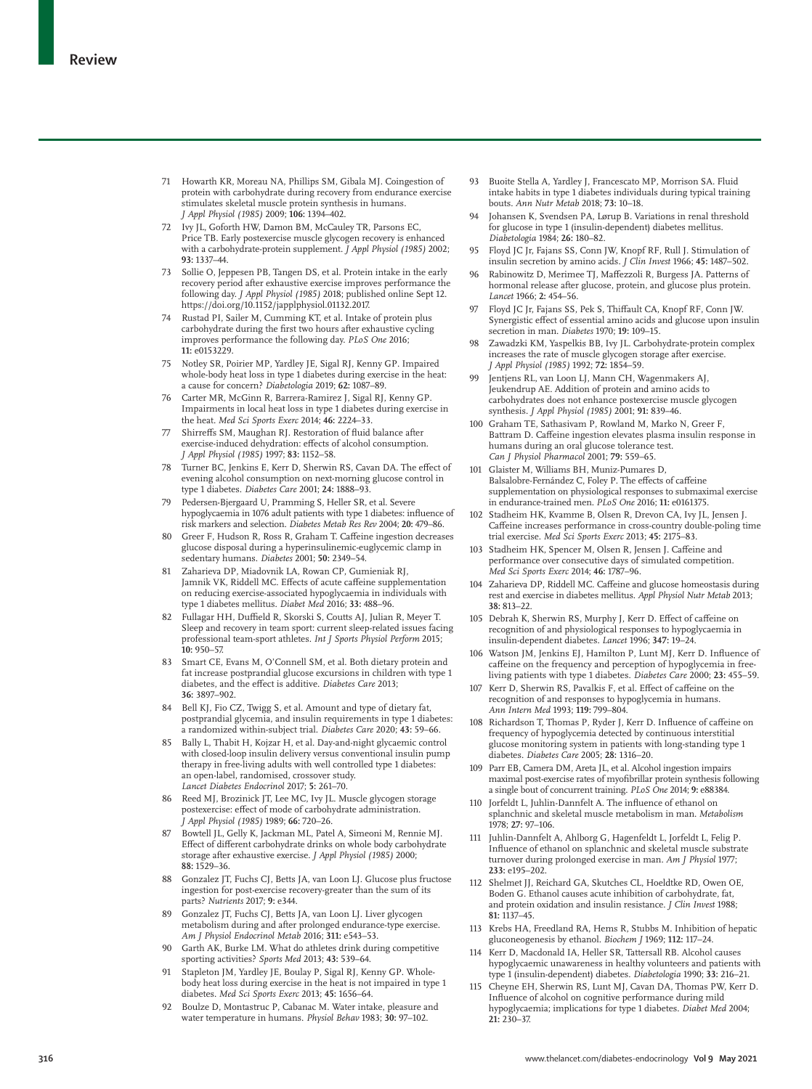- 71 Howarth KR, Moreau NA, Phillips SM, Gibala MJ. Coingestion of protein with carbohydrate during recovery from endurance exercise stimulates skeletal muscle protein synthesis in humans. *J Appl Physiol (1985)* 2009; **106:** 1394–402.
- 72 Ivy JL, Goforth HW, Damon BM, McCauley TR, Parsons EC, Price TB. Early postexercise muscle glycogen recovery is enhanced with a carbohydrate-protein supplement. *J Appl Physiol (1985)* 2002; **93:** 1337–44.
- 73 Sollie O, Jeppesen PB, Tangen DS, et al. Protein intake in the early recovery period after exhaustive exercise improves performance the following day. *J Appl Physiol (1985)* 2018; published online Sept 12. https://doi.org/10.1152/japplphysiol.01132.2017.
- Rustad PI, Sailer M, Cumming KT, et al. Intake of protein plus carbohydrate during the first two hours after exhaustive cycling improves performance the following day. *PLoS One* 2016; **11:** e0153229.
- 75 Notley SR, Poirier MP, Yardley JE, Sigal RJ, Kenny GP. Impaired whole-body heat loss in type 1 diabetes during exercise in the heat: a cause for concern? *Diabetologia* 2019; **62:** 1087–89.
- 76 Carter MR, McGinn R, Barrera-Ramirez J, Sigal RJ, Kenny GP. Impairments in local heat loss in type 1 diabetes during exercise in the heat. *Med Sci Sports Exerc* 2014; **46:** 2224–33.
- 77 Shirreffs SM, Maughan RJ. Restoration of fluid balance after exercise-induced dehydration: effects of alcohol consumption. *J Appl Physiol (1985)* 1997; **83:** 1152–58.
- 78 Turner BC, Jenkins E, Kerr D, Sherwin RS, Cavan DA. The effect of evening alcohol consumption on next-morning glucose control in type 1 diabetes. *Diabetes Care* 2001; **24:** 1888–93.
- 79 Pedersen-Bjergaard U, Pramming S, Heller SR, et al. Severe hypoglycaemia in 1076 adult patients with type 1 diabetes: influence of risk markers and selection. *Diabetes Metab Res Rev* 2004; **20:** 479–86.
- Greer F, Hudson R, Ross R, Graham T. Caffeine ingestion decreases glucose disposal during a hyperinsulinemic-euglycemic clamp in sedentary humans. *Diabetes* 2001; **50:** 2349–54.
- 81 Zaharieva DP, Miadovnik LA, Rowan CP, Gumieniak RJ, Jamnik VK, Riddell MC. Effects of acute caffeine supplementation on reducing exercise-associated hypoglycaemia in individuals with type 1 diabetes mellitus. *Diabet Med* 2016; **33:** 488–96.
- 82 Fullagar HH, Duffield R, Skorski S, Coutts AJ, Julian R, Meyer T. Sleep and recovery in team sport: current sleep-related issues facing professional team-sport athletes. *Int J Sports Physiol Perform* 2015; **10:** 950–57.
- 83 Smart CE, Evans M, O'Connell SM, et al. Both dietary protein and fat increase postprandial glucose excursions in children with type 1 diabetes, and the effect is additive. *Diabetes Care* 2013; **36:** 3897–902.
- 84 Bell KJ, Fio CZ, Twigg S, et al. Amount and type of dietary fat, postprandial glycemia, and insulin requirements in type 1 diabetes: a randomized within-subject trial. *Diabetes Care* 2020; **43:** 59–66.
- 85 Bally L, Thabit H, Kojzar H, et al. Day-and-night glycaemic control with closed-loop insulin delivery versus conventional insulin pump therapy in free-living adults with well controlled type 1 diabetes: an open-label, randomised, crossover study. *Lancet Diabetes Endocrinol* 2017; **5:** 261–70.
- 86 Reed MJ, Brozinick JT, Lee MC, Ivy JL. Muscle glycogen storage postexercise: effect of mode of carbohydrate administration. *J Appl Physiol (1985)* 1989; **66:** 720–26.
- 87 Bowtell JL, Gelly K, Jackman ML, Patel A, Simeoni M, Rennie MJ. Effect of different carbohydrate drinks on whole body carbohydrate storage after exhaustive exercise. *J Appl Physiol (1985)* 2000; **88:** 1529–36.
- 88 Gonzalez JT, Fuchs CJ, Betts JA, van Loon LJ. Glucose plus fructose ingestion for post-exercise recovery-greater than the sum of its parts? *Nutrients* 2017; **9:** e344.
- 89 Gonzalez JT, Fuchs CJ, Betts JA, van Loon LJ. Liver glycogen metabolism during and after prolonged endurance-type exercise. *Am J Physiol Endocrinol Metab* 2016; **311:** e543–53.
- 90 Garth AK, Burke LM. What do athletes drink during competitive sporting activities? *Sports Med* 2013; **43:** 539–64.
- 91 Stapleton JM, Yardley JE, Boulay P, Sigal RJ, Kenny GP. Wholebody heat loss during exercise in the heat is not impaired in type 1 diabetes. *Med Sci Sports Exerc* 2013; **45:** 1656–64.
- 92 Boulze D, Montastruc P, Cabanac M. Water intake, pleasure and water temperature in humans. *Physiol Behav* 1983; **30:** 97–102.
- 93 Buoite Stella A, Yardley J, Francescato MP, Morrison SA. Fluid intake habits in type 1 diabetes individuals during typical training bouts. *Ann Nutr Metab* 2018; **73:** 10–18.
- Johansen K, Svendsen PA, Lørup B. Variations in renal threshold for glucose in type 1 (insulin-dependent) diabetes mellitus. *Diabetologia* 1984; **26:** 180–82.
- 95 Floyd JC Jr, Fajans SS, Conn JW, Knopf RF, Rull J. Stimulation of insulin secretion by amino acids. *J Clin Invest* 1966; **45:** 1487–502.
- 96 Rabinowitz D, Merimee TJ, Maffezzoli R, Burgess JA. Patterns of hormonal release after glucose, protein, and glucose plus protein. *Lancet* 1966; **2:** 454–56.
- 97 Floyd JC Jr, Fajans SS, Pek S, Thiffault CA, Knopf RF, Conn JW. Synergistic effect of essential amino acids and glucose upon insulin secretion in man. *Diabetes* 1970; **19:** 109–15.
- Zawadzki KM, Yaspelkis BB, Ivy JL. Carbohydrate-protein complex increases the rate of muscle glycogen storage after exercise. *J Appl Physiol (1985)* 1992; **72:** 1854–59.
- 99 Ientiens RL. van Loon LJ, Mann CH, Wagenmakers AJ, Jeukendrup AE. Addition of protein and amino acids to carbohydrates does not enhance postexercise muscle glycogen synthesis. *J Appl Physiol (1985)* 2001; **91:** 839–46.
- 100 Graham TE, Sathasivam P, Rowland M, Marko N, Greer F, Battram D. Caffeine ingestion elevates plasma insulin response in humans during an oral glucose tolerance test. *Can J Physiol Pharmacol* 2001; **79:** 559–65.
- 101 Glaister M, Williams BH, Muniz-Pumares D, Balsalobre-Fernández C, Foley P. The effects of caffeine supplementation on physiological responses to submaximal exercise in endurance-trained men. *PLoS One* 2016; **11:** e0161375.
- 102 Stadheim HK, Kvamme B, Olsen R, Drevon CA, Ivy JL, Jensen J. Caffeine increases performance in cross-country double-poling time trial exercise. *Med Sci Sports Exerc* 2013; **45:** 2175–83.
- 103 Stadheim HK, Spencer M, Olsen R, Jensen J. Caffeine and performance over consecutive days of simulated competition. *Med Sci Sports Exerc* 2014; **46:** 1787–96.
- 104 Zaharieva DP, Riddell MC. Caffeine and glucose homeostasis during rest and exercise in diabetes mellitus. *Appl Physiol Nutr Metab* 2013; **38:** 813–22.
- Debrah K, Sherwin RS, Murphy J, Kerr D. Effect of caffeine on recognition of and physiological responses to hypoglycaemia in insulin-dependent diabetes. *Lancet* 1996; **347:** 19–24.
- 106 Watson JM, Jenkins EJ, Hamilton P, Lunt MJ, Kerr D. Influence of caffeine on the frequency and perception of hypoglycemia in freeliving patients with type 1 diabetes. *Diabetes Care* 2000; **23:** 455–59.
- 107 Kerr D, Sherwin RS, Pavalkis F, et al. Effect of caffeine on the recognition of and responses to hypoglycemia in humans. *Ann Intern Med* 1993; **119:** 799–804.
- 108 Richardson T, Thomas P, Ryder J, Kerr D. Influence of caffeine on frequency of hypoglycemia detected by continuous interstitial glucose monitoring system in patients with long-standing type 1 diabetes. *Diabetes Care* 2005; **28:** 1316–20.
- 109 Parr EB, Camera DM, Areta JL, et al. Alcohol ingestion impairs maximal post-exercise rates of myofibrillar protein synthesis following a single bout of concurrent training. *PLoS One* 2014; **9:** e88384.
- 110 Jorfeldt L, Juhlin-Dannfelt A. The influence of ethanol on splanchnic and skeletal muscle metabolism in man. *Metabolism* 1978; **27:** 97–106.
- 111 Juhlin-Dannfelt A, Ahlborg G, Hagenfeldt L, Jorfeldt L, Felig P. Influence of ethanol on splanchnic and skeletal muscle substrate turnover during prolonged exercise in man. *Am J Physiol* 1977; **233:** e195–202.
- 112 Shelmet JJ, Reichard GA, Skutches CL, Hoeldtke RD, Owen OE, Boden G. Ethanol causes acute inhibition of carbohydrate, fat, and protein oxidation and insulin resistance. *J Clin Invest* 1988; **81:** 1137–45.
- 113 Krebs HA, Freedland RA, Hems R, Stubbs M. Inhibition of hepatic gluconeogenesis by ethanol. *Biochem J* 1969; **112:** 117–24.
- 114 Kerr D, Macdonald IA, Heller SR, Tattersall RB. Alcohol causes hypoglycaemic unawareness in healthy volunteers and patients with type 1 (insulin-dependent) diabetes. *Diabetologia* 1990; **33:** 216–21.
- Cheyne EH, Sherwin RS, Lunt MJ, Cavan DA, Thomas PW, Kerr D. Influence of alcohol on cognitive performance during mild hypoglycaemia; implications for type 1 diabetes. *Diabet Med* 2004; **21:** 230–37.